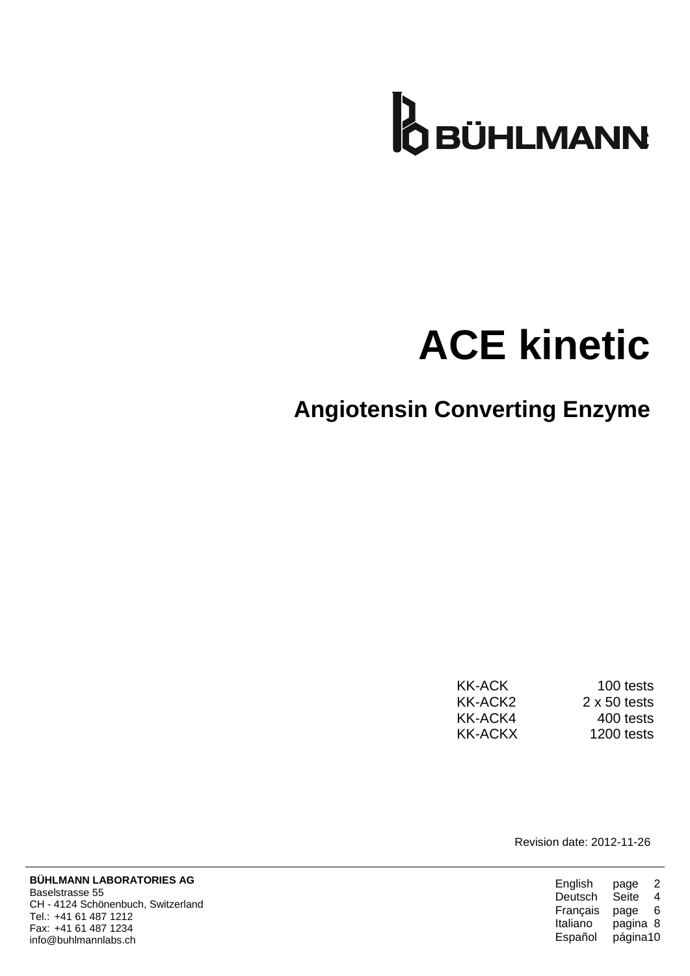

# **ACE kinetic**

### **Angiotensin Converting Enzyme**

| KK-ACK  | 100 tests           |
|---------|---------------------|
| KK-ACK2 | $2 \times 50$ tests |
| KK-ACK4 | 400 tests           |
| KK-ACKX | 1200 tests          |

Revision date: 2012-11-26

| English  | 2<br>page    |
|----------|--------------|
| Deutsch  | Seite<br>4   |
| Français | 6<br>page    |
| Italiano | pagina<br>-8 |
| Español  | página10     |

**BÜHLMANN LABORATORIES AG** Baselstrasse 55 CH - 4124 Schönenbuch, Switzerland Tel.: +41 61 487 1212 Fax: +41 61 487 1234 info@buhlmannlabs.ch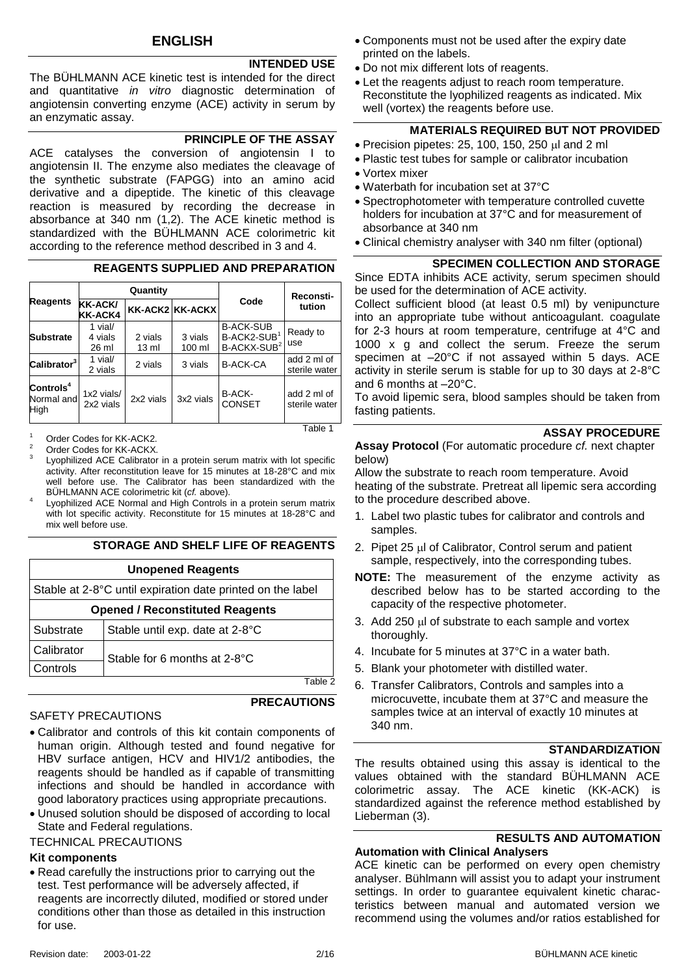#### **INTENDED USE**

The BÜHLMANN ACE kinetic test is intended for the direct and quantitative *in vitro* diagnostic determination of angiotensin converting enzyme (ACE) activity in serum by an enzymatic assay.

#### **PRINCIPLE OF THE ASSAY**

ACE catalyses the conversion of angiotensin I to angiotensin II. The enzyme also mediates the cleavage of the synthetic substrate (FAPGG) into an amino acid derivative and a dipeptide. The kinetic of this cleavage reaction is measured by recording the decrease in absorbance at 340 nm (1[,2\)](#page-14-0). The ACE kinetic method is standardized with the BÜHLMANN ACE colorimetric kit according to the reference method described in [3](#page-14-1) and 4.

#### **REAGENTS SUPPLIED AND PREPARATION**

|                                             |                             | Quantity         |                   |                                                                        | Reconsti-                    |  |
|---------------------------------------------|-----------------------------|------------------|-------------------|------------------------------------------------------------------------|------------------------------|--|
| <b>Reagents</b>                             | <b>KK-ACK/</b><br>KK-ACK4   | KK-ACK2 KK-ACKX  |                   | Code                                                                   | tution                       |  |
| <b>Substrate</b>                            | 1 vial/<br>4 vials<br>26 ml | 2 vials<br>13 ml | 3 vials<br>100 ml | <b>B-ACK-SUB</b><br>B-ACK2-SUB <sup>1</sup><br>B-ACKX-SUB <sup>2</sup> | Ready to<br>use              |  |
| Calibrator <sup>3</sup>                     | 1 vial/<br>2 vials          | 2 vials          | 3 vials           | <b>B-ACK-CA</b>                                                        | add 2 ml of<br>sterile water |  |
| $\textsf{Contents}^4$<br>Normal and<br>High | 1x2 vials/<br>2x2 vials     | 2x2 vials        | 3x2 vials         | B-ACK-<br><b>CONSET</b>                                                | add 2 ml of<br>sterile water |  |

Order Codes for KK-ACK2.

- $\overline{2}$ Lyophilized ACE Calibrator in a protein serum matrix with lot specific activity. After reconstitution leave for 15 minutes at 18-28°C and mix well before use. The Calibrator has been standardized with the BÜHLMANN ACE colorimetric kit (*cf.* above).
- 4 Lyophilized ACE Normal and High Controls in a protein serum matrix with lot specific activity. Reconstitute for 15 minutes at 18-28°C and mix well before use.

#### **STORAGE AND SHELF LIFE OF REAGENTS**

| <b>Unopened Reagents</b>               |                                                            |  |  |
|----------------------------------------|------------------------------------------------------------|--|--|
|                                        | Stable at 2-8°C until expiration date printed on the label |  |  |
| <b>Opened / Reconstituted Reagents</b> |                                                            |  |  |
| Substrate                              | Stable until exp. date at 2-8°C                            |  |  |
| Calibrator                             | Stable for 6 months at 2-8°C                               |  |  |
| Controls                               |                                                            |  |  |
|                                        |                                                            |  |  |

#### SAFETY PRECAUTIONS

**PRECAUTIONS**

Table 1

- Calibrator and controls of this kit contain components of human origin. Although tested and found negative for HBV surface antigen, HCV and HIV1/2 antibodies, the reagents should be handled as if capable of transmitting infections and should be handled in accordance with good laboratory practices using appropriate precautions.
- Unused solution should be disposed of according to local State and Federal regulations.

#### TECHNICAL PRECAUTIONS

#### **Kit components**

 Read carefully the instructions prior to carrying out the test. Test performance will be adversely affected, if reagents are incorrectly diluted, modified or stored under conditions other than those as detailed in this instruction for use.

- Components must not be used after the expiry date printed on the labels.
- Do not mix different lots of reagents.
- Let the reagents adjust to reach room temperature. Reconstitute the lyophilized reagents as indicated. Mix well (vortex) the reagents before use.

#### **MATERIALS REQUIRED BUT NOT PROVIDED**

- $\bullet$  Precision pipetes: 25, 100, 150, 250  $\mu$ l and 2 ml
- Plastic test tubes for sample or calibrator incubation
- Vortex mixer
- Waterbath for incubation set at 37°C
- Spectrophotometer with temperature controlled cuvette holders for incubation at 37°C and for measurement of absorbance at 340 nm
- Clinical chemistry analyser with 340 nm filter (optional)

#### **SPECIMEN COLLECTION AND STORAGE**

Since EDTA inhibits ACE activity, serum specimen should be used for the determination of ACE activity.

Collect sufficient blood (at least 0.5 ml) by venipuncture into an appropriate tube without anticoagulant. coagulate for 2-3 hours at room temperature, centrifuge at 4°C and 1000 x g and collect the serum. Freeze the serum specimen at –20°C if not assayed within 5 days. ACE activity in sterile serum is stable for up to 30 days at 2-8°C and 6 months at –20°C.

To avoid lipemic sera, blood samples should be taken from fasting patients.

#### **ASSAY PROCEDURE**

#### **Assay Protocol** (For automatic procedure *cf.* next chapter below)

Allow the substrate to reach room temperature. Avoid heating of the substrate. Pretreat all lipemic sera according to the procedure described above.

- 1. Label two plastic tubes for calibrator and controls and samples.
- 2. Pipet 25 µl of Calibrator, Control serum and patient sample, respectively, into the corresponding tubes.
- **NOTE:** The measurement of the enzyme activity as described below has to be started according to the capacity of the respective photometer.
- 3. Add 250  $\mu$  of substrate to each sample and vortex thoroughly.
- 4. Incubate for 5 minutes at 37°C in a water bath.
- 5. Blank your photometer with distilled water.
- 6. Transfer Calibrators, Controls and samples into a microcuvette, incubate them at 37°C and measure the samples twice at an interval of exactly 10 minutes at 340 nm.

#### **STANDARDIZATION**

The results obtained using this assay is identical to the values obtained with the standard BÜHLMANN ACE colorimetric assay. The ACE kinetic (KK-ACK) is standardized against the reference method established by Lieberman [\(3\)](#page-14-1).

### **RESULTS AND AUTOMATION**

#### **Automation with Clinical Analysers**

ACE kinetic can be performed on every open chemistry analyser. Bühlmann will assist you to adapt your instrument settings. In order to guarantee equivalent kinetic characteristics between manual and automated version we recommend using the volumes and/or ratios established for

Order Codes for KK-ACKX.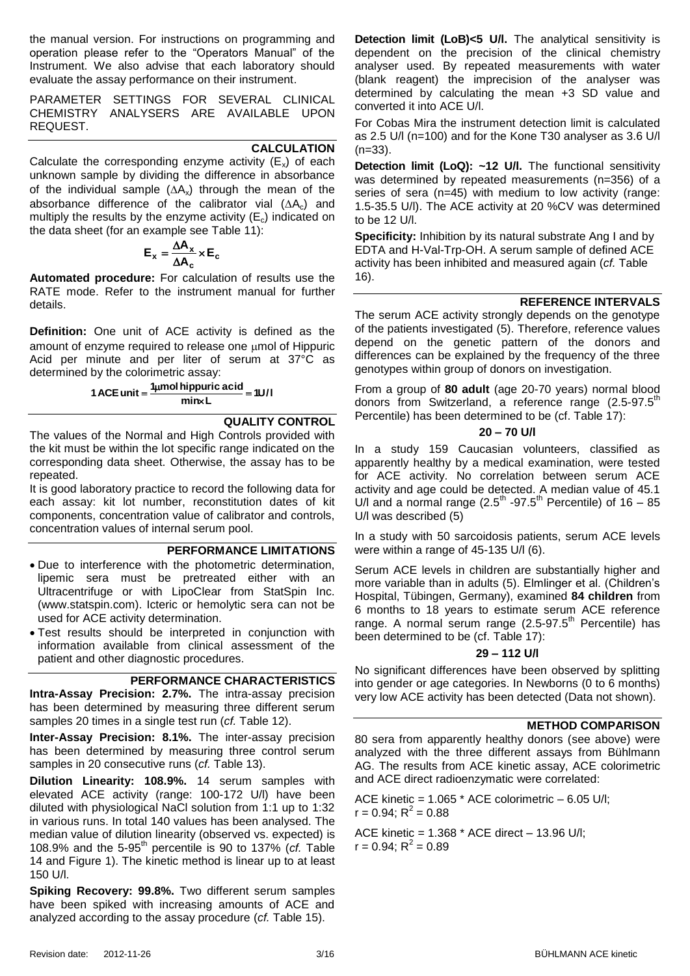the manual version. For instructions on programming and operation please refer to the "Operators Manual" of the Instrument. We also advise that each laboratory should evaluate the assay performance on their instrument.

PARAMETER SETTINGS FOR SEVERAL CLINICAL CHEMISTRY ANALYSERS ARE AVAILABLE UPON REQUEST.

#### **CALCULATION**

Calculate the corresponding enzyme activity  $(E_x)$  of each unknown sample by dividing the difference in absorbance of the individual sample  $(∆A<sub>x</sub>)$  through the mean of the absorbance difference of the calibrator vial  $( \Delta A_c )$  and multiply the results by the enzyme activity  $(E_c)$  indicated on the data sheet (for an example see [Table 11\)](#page-13-0):

$$
\mathbf{E}_{\mathbf{x}} = \frac{\Delta \mathbf{A}_{\mathbf{x}}}{\Delta \mathbf{A}_{\mathbf{c}}} \times \mathbf{E}_{\mathbf{c}}
$$

**Automated procedure:** For calculation of results use the RATE mode. Refer to the instrument manual for further details.

**Definition:** One unit of ACE activity is defined as the amount of enzyme required to release one  $\mu$ mol of Hippuric Acid per minute and per liter of serum at 37°C as determined by the colorimetric assay:

1 ACE unit = 
$$
\frac{1 \mu mol \text{ hippuric acid}}{\text{mix L}} = 10/1
$$

#### **QUALITY CONTROL**

The values of the Normal and High Controls provided with the kit must be within the lot specific range indicated on the corresponding data sheet. Otherwise, the assay has to be repeated.

It is good laboratory practice to record the following data for each assay: kit lot number, reconstitution dates of kit components, concentration value of calibrator and controls, concentration values of internal serum pool.

#### **PERFORMANCE LIMITATIONS**

- Due to interference with the photometric determination, lipemic sera must be pretreated either with an Ultracentrifuge or with LipoClear from StatSpin Inc. (www.statspin.com). Icteric or hemolytic sera can not be used for ACE activity determination.
- Test results should be interpreted in conjunction with information available from clinical assessment of the patient and other diagnostic procedures.

#### **PERFORMANCE CHARACTERISTICS**

<span id="page-2-0"></span>**Intra-Assay Precision: 2.7%.** The intra-assay precision has been determined by measuring three different serum samples 20 times in a single test run (*cf.* [Table 12\)](#page-13-1).

**Inter-Assay Precision: 8.1%.** The inter-assay precision has been determined by measuring three control serum samples in 20 consecutive runs (*cf.* [Table 13\)](#page-13-2).

**Dilution Linearity: 108.9%.** 14 serum samples with elevated ACE activity (range: 100-172 U/l) have been diluted with physiological NaCl solution from 1:1 up to 1:32 in various runs. In total 140 values has been analysed. The median value of dilution linearity (observed vs. expected) is 108.9% and the 5-95th percentile is 90 to 137% (*cf.* [Table](#page-13-3)  [14](#page-13-3) and [Figure 1\)](#page-13-4). The kinetic method is linear up to at least 150 U/l.

**Spiking Recovery: 99.8%.** Two different serum samples have been spiked with increasing amounts of ACE and analyzed according to the assay procedure (*cf.* [Table 15\)](#page-13-5).

**Detection limit (LoB)<5 U/l.** The analytical sensitivity is dependent on the precision of the clinical chemistry analyser used. By repeated measurements with water (blank reagent) the imprecision of the analyser was determined by calculating the mean +3 SD value and converted it into ACE U/l.

For Cobas Mira the instrument detection limit is calculated as 2.5 U/l (n=100) and for the Kone T30 analyser as 3.6 U/l (n=33).

**Detection limit (LoQ): ~12 U/l.** The functional sensitivity was determined by repeated measurements (n=356) of a series of sera (n=45) with medium to low activity (range: 1.5-35.5 U/l). The ACE activity at 20 %CV was determined to be 12 U/l.

**Specificity:** Inhibition by its natural substrate Ang I and by EDTA and H-Val-Trp-OH. A serum sample of defined ACE activity has been inhibited and measured again (*cf.* [Table](#page-13-6)  [16\)](#page-13-6).

#### **REFERENCE INTERVALS**

The serum ACE activity strongly depends on the genotype of the patients investigated [\(5\)](#page-14-2). Therefore, reference values depend on the genetic pattern of the donors and differences can be explained by the frequency of the three genotypes within group of donors on investigation.

From a group of **80 adult** (age 20-70 years) normal blood donors from Switzerland, a reference range (2.5-97.5<sup>th</sup> Percentile) has been determined to be (cf. [Table 17\)](#page-13-7):

#### **20 – 70 U/l**

In a study 159 Caucasian volunteers, classified as apparently healthy by a medical examination, were tested for ACE activity. No correlation between serum ACE activity and age could be detected. A median value of 45.1 U/l and a normal range  $(2.5<sup>th</sup> -97.5<sup>th</sup>$  Percentile) of 16 - 85 U/l was described [\(5\)](#page-14-2)

In a study with 50 sarcoidosis patients, serum ACE levels were within a range of 45-135 U/l [\(6\)](#page-14-3).

Serum ACE levels in children are substantially higher and more variable than in adults [\(5\)](#page-14-2). Elmlinger et al. (Children's Hospital, Tübingen, Germany), examined **84 children** from 6 months to 18 years to estimate serum ACE reference range. A normal serum range  $(2.5-97.5<sup>th</sup>$  Percentile) has been determined to be (cf. [Table 17\)](#page-13-7):

#### **29 – 112 U/l**

No significant differences have been observed by splitting into gender or age categories. In Newborns (0 to 6 months) very low ACE activity has been detected (Data not shown).

#### **METHOD COMPARISON**

80 sera from apparently healthy donors (see above) were analyzed with the three different assays from Bühlmann AG. The results from ACE kinetic assay, ACE colorimetric and ACE direct radioenzymatic were correlated:

ACE kinetic =  $1.065$  \* ACE colorimetric  $-6.05$  U/l;  $r = 0.94; R^2 = 0.88$ 

ACE kinetic = 1.368 \* ACE direct – 13.96 U/l;  $r = 0.94; R^2 = 0.89$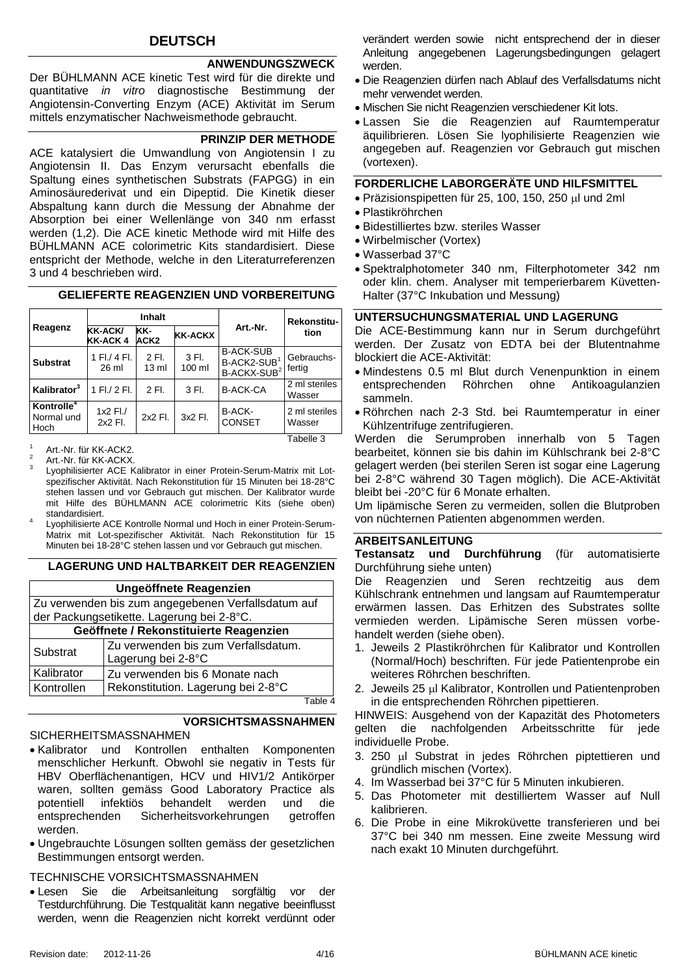#### **DEUTSCH**

#### **ANWENDUNGSZWECK**

Der BÜHLMANN ACE kinetic Test wird für die direkte und quantitative *in vitro* diagnostische Bestimmung der Angiotensin-Converting Enzym (ACE) Aktivität im Serum mittels enzymatischer Nachweismethode gebraucht.

#### **PRINZIP DER METHODE**

ACE katalysiert die Umwandlung von Angiotensin I zu Angiotensin II. Das Enzym verursacht ebenfalls die Spaltung eines synthetischen Substrats (FAPGG) in ein Aminosäurederivat und ein Dipeptid. Die Kinetik dieser Abspaltung kann durch die Messung der Abnahme der Absorption bei einer Wellenlänge von 340 nm erfasst werden (1[,2\)](#page-14-0). Die ACE kinetic Methode wird mit Hilfe des BÜHLMANN ACE colorimetric Kits standardisiert. Diese entspricht der Methode, welche in den Literaturreferenzen [3](#page-14-1) und [4](#page-14-4) beschrieben wird.

#### **GELIEFERTE REAGENZIEN UND VORBEREITUNG**

|                                              |                            | Inhalt                   |                 |                                                                              | Rekonstitu-             |
|----------------------------------------------|----------------------------|--------------------------|-----------------|------------------------------------------------------------------------------|-------------------------|
| Reagenz                                      | <b>KK-ACK/</b><br>KK-ACK 4 | KK-<br>ACK2              | <b>KK-ACKX</b>  | Art.-Nr.                                                                     | tion                    |
| <b>Substrat</b>                              | 1 Fl./ 4 Fl.<br>$26$ ml    | 2 FI.<br>$13 \text{ ml}$ | 3 Fl.<br>100 ml | <b>B-ACK-SUB</b><br>B-ACK2-SUB <sup>1</sup><br><b>B-ACKX-SUB<sup>2</sup></b> | Gebrauchs-<br>fertig    |
| Kalibrator <sup>3</sup>                      | 1 Fl./ 2 Fl.               | 2 FL                     | 3 Fl.           | <b>B-ACK-CA</b>                                                              | 2 ml steriles<br>Wasser |
| Kontrolle <sup>4</sup><br>Normal und<br>Hoch | $1x2$ Fl./<br>2x2 Fl.      | 2x2 Fl.                  | 3x2 Fl.         | B-ACK-<br><b>CONSET</b>                                                      | 2 ml steriles<br>Wasser |

Tabelle 3

- $\overline{2}$ Lyophilisierter ACE Kalibrator in einer Protein-Serum-Matrix mit Lotspezifischer Aktivität. Nach Rekonstitution für 15 Minuten bei 18-28°C stehen lassen und vor Gebrauch gut mischen. Der Kalibrator wurde mit Hilfe des BÜHLMANN ACE colorimetric Kits (siehe oben) standardisiert.
- 4 Lyophilisierte ACE Kontrolle Normal und Hoch in einer Protein-Serum-Matrix mit Lot-spezifischer Aktivität. Nach Rekonstitution für 15 Minuten bei 18-28°C stehen lassen und vor Gebrauch gut mischen.

#### **LAGERUNG UND HALTBARKEIT DER REAGENZIEN**

|                                                  | Ungeöffnete Reagenzien                                    |  |  |
|--------------------------------------------------|-----------------------------------------------------------|--|--|
|                                                  | Zu verwenden bis zum angegebenen Verfallsdatum auf        |  |  |
|                                                  | der Packungsetikette. Lagerung bei 2-8°C.                 |  |  |
| Geöffnete / Rekonstituierte Reagenzien           |                                                           |  |  |
| Substrat                                         | Zu verwenden bis zum Verfallsdatum.<br>Lagerung bei 2-8°C |  |  |
| Kalibrator                                       | Zu verwenden bis 6 Monate nach                            |  |  |
| Rekonstitution. Lagerung bei 2-8°C<br>Kontrollen |                                                           |  |  |
|                                                  | $T_0$ blo /                                               |  |  |

Table 4

#### **VORSICHTSMASSNAHMEN**

#### SICHERHEITSMASSNAHMEN

- Kalibrator und Kontrollen enthalten Komponenten menschlicher Herkunft. Obwohl sie negativ in Tests für HBV Oberflächenantigen, HCV und HIV1/2 Antikörper waren, sollten gemäss Good Laboratory Practice als potentiell infektiös behandelt werden und die entsprechenden Sicherheitsvorkehrungen getroffen werden.
- Ungebrauchte Lösungen sollten gemäss der gesetzlichen Bestimmungen entsorgt werden.

TECHNISCHE VORSICHTSMASSNAHMEN

 Lesen Sie die Arbeitsanleitung sorgfältig vor der Testdurchführung. Die Testqualität kann negative beeinflusst werden, wenn die Reagenzien nicht korrekt verdünnt oder

verändert werden sowie nicht entsprechend der in dieser Anleitung angegebenen Lagerungsbedingungen gelagert werden.

- Die Reagenzien dürfen nach Ablauf des Verfallsdatums nicht mehr verwendet werden.
- Mischen Sie nicht Reagenzien verschiedener Kit lots.
- Lassen Sie die Reagenzien auf Raumtemperatur äquilibrieren. Lösen Sie lyophilisierte Reagenzien wie angegeben auf. Reagenzien vor Gebrauch gut mischen (vortexen).

#### **FORDERLICHE LABORGERÄTE UND HILFSMITTEL**

- Präzisionspipetten für 25, 100, 150, 250 µl und 2ml
- Plastikröhrchen
- Bidestilliertes bzw. steriles Wasser
- Wirbelmischer (Vortex)
- Wasserbad 37°C
- Spektralphotometer 340 nm, Filterphotometer 342 nm oder klin. chem. Analyser mit temperierbarem Küvetten-Halter (37°C Inkubation und Messung)

#### **UNTERSUCHUNGSMATERIAL UND LAGERUNG**

Die ACE-Bestimmung kann nur in Serum durchgeführt werden. Der Zusatz von EDTA bei der Blutentnahme blockiert die ACE-Aktivität:

- Mindestens 0.5 ml Blut durch Venenpunktion in einem entsprechenden Röhrchen ohne Antikoagulanzien sammeln.
- Röhrchen nach 2-3 Std. bei Raumtemperatur in einer Kühlzentrifuge zentrifugieren.

Werden die Serumproben innerhalb von 5 Tagen bearbeitet, können sie bis dahin im Kühlschrank bei 2-8°C gelagert werden (bei sterilen Seren ist sogar eine Lagerung bei 2-8°C während 30 Tagen möglich). Die ACE-Aktivität bleibt bei -20°C für 6 Monate erhalten.

Um lipämische Seren zu vermeiden, sollen die Blutproben von nüchternen Patienten abgenommen werden.

#### **ARBEITSANLEITUNG**

**Testansatz und Durchführung** (für automatisierte Durchführung siehe unten)

Die Reagenzien und Seren rechtzeitig aus dem Kühlschrank entnehmen und langsam auf Raumtemperatur erwärmen lassen. Das Erhitzen des Substrates sollte vermieden werden. Lipämische Seren müssen vorbehandelt werden (siehe oben).

- 1. Jeweils 2 Plastikröhrchen für Kalibrator und Kontrollen (Normal/Hoch) beschriften. Für jede Patientenprobe ein weiteres Röhrchen beschriften.
- 2. Jeweils 25 µl Kalibrator, Kontrollen und Patientenproben in die entsprechenden Röhrchen pipettieren.

HINWEIS: Ausgehend von der Kapazität des Photometers gelten die nachfolgenden Arbeitsschritte für jede individuelle Probe.

- 3. 250 µl Substrat in jedes Röhrchen piptettieren und gründlich mischen (Vortex).
- 4. Im Wasserbad bei 37°C für 5 Minuten inkubieren.
- 5. Das Photometer mit destilliertem Wasser auf Null kalibrieren.
- 6. Die Probe in eine Mikroküvette transferieren und bei 37°C bei 340 nm messen. Eine zweite Messung wird nach exakt 10 Minuten durchgeführt.

 $\frac{1}{2}$  Art.-Nr. für KK-ACK2. <sup>2</sup> Art.-Nr. für KK-ACKX.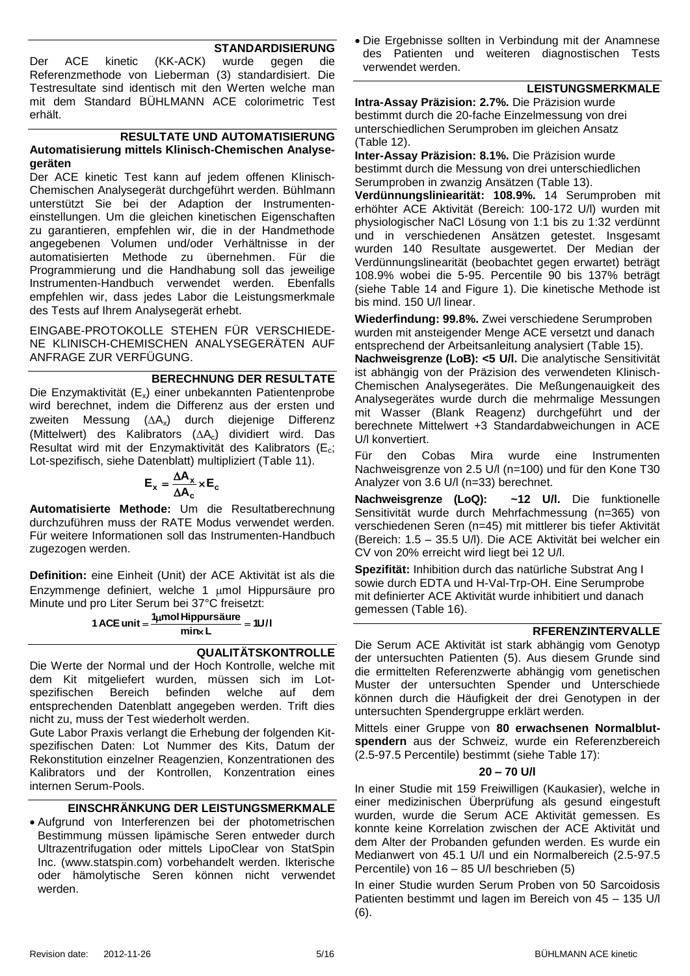#### **STANDARDISIERUNG**

Der ACE kinetic (KK-ACK) wurde gegen die Referenzmethode von Lieberman [\(3\)](#page-14-1) standardisiert. Die Testresultate sind identisch mit den Werten welche man mit dem Standard BÜHLMANN ACE colorimetric Test erhält.

#### **RESULTATE UND AUTOMATISIERUNG Automatisierung mittels Klinisch-Chemischen Analysegeräten**

Der ACE kinetic Test kann auf jedem offenen Klinisch-Chemischen Analysegerät durchgeführt werden. Bühlmann unterstützt Sie bei der Adaption der Instrumenteneinstellungen. Um die gleichen kinetischen Eigenschaften zu garantieren, empfehlen wir, die in der Handmethode angegebenen Volumen und/oder Verhältnisse in der automatisierten Methode zu übernehmen. Für die Programmierung und die Handhabung soll das jeweilige Instrumenten-Handbuch verwendet werden. Ebenfalls empfehlen wir, dass jedes Labor die Leistungsmerkmale des Tests auf Ihrem Analysegerät erhebt.

EINGABE-PROTOKOLLE STEHEN FÜR VERSCHIEDE-NE KLINISCH-CHEMISCHEN ANALYSEGERÄTEN AUF ANFRAGE ZUR VERFÜGUNG.

**BERECHNUNG DER RESULTATE** Die Enzymaktivität  $(E_x)$  einer unbekannten Patientenprobe wird berechnet, indem die Differenz aus der ersten und zweiten Messung  $( \Delta A_x )$  durch diejenige Differenz (Mittelwert) des Kalibrators  $( \Delta A_c )$  dividiert wird. Das Resultat wird mit der Enzymaktivität des Kalibrators ( $E_c$ ; Lot-spezifisch, siehe Datenblatt) multipliziert [\(Table 11\)](#page-13-0).

$$
\mathbf{E}_{\mathbf{x}} = \frac{\Delta \mathbf{A}_{\mathbf{x}}}{\Delta \mathbf{A}_{\mathbf{c}}} \times \mathbf{E}_{\mathbf{c}}
$$

**Automatisierte Methode:** Um die Resultatberechnung durchzuführen muss der RATE Modus verwendet werden. Für weitere Informationen soll das Instrumenten-Handbuch zugezogen werden.

**Definition:** eine Einheit (Unit) der ACE Aktivität ist als die Enzymmenge definiert, welche 1 umol Hippursäure pro Minute und pro Liter Serum bei 37°C freisetzt:

> **1** ACE unit =  $\frac{1 \mu mol \text{ Hippursäure}}{1 \mu}$  = 1U/I **min L**

#### **QUALITÄTSKONTROLLE**

Die Werte der Normal und der Hoch Kontrolle, welche mit dem Kit mitgeliefert wurden, müssen sich im Lotspezifischen Bereich befinden welche auf dem entsprechenden Datenblatt angegeben werden. Trift dies nicht zu, muss der Test wiederholt werden.

Gute Labor Praxis verlangt die Erhebung der folgenden Kitspezifischen Daten: Lot Nummer des Kits, Datum der Rekonstitution einzelner Reagenzien, Konzentrationen des Kalibrators und der Kontrollen, Konzentration eines internen Serum-Pools.

#### **EINSCHRÄNKUNG DER LEISTUNGSMERKMALE**

 Aufgrund von Interferenzen bei der photometrischen Bestimmung müssen lipämische Seren entweder durch Ultrazentrifugation oder mittels LipoClear von StatSpin Inc. (www.statspin.com) vorbehandelt werden. Ikterische oder hämolytische Seren können nicht verwendet werden.

<span id="page-4-0"></span> Die Ergebnisse sollten in Verbindung mit der Anamnese des Patienten und weiteren diagnostischen Tests verwendet werden.

#### **LEISTUNGSMERKMALE**

**Intra-Assay Präzision: 2.7%.** Die Präzision wurde bestimmt durch die 20-fache Einzelmessung von drei unterschiedlichen Serumproben im gleichen Ansatz [\(Table 12\)](#page-13-1).

**Inter-Assay Präzision: 8.1%.** Die Präzision wurde bestimmt durch die Messung von drei unterschiedlichen Serumproben in zwanzig Ansätzen [\(Table 13\)](#page-13-2).

**Verdünnungsliniearität: 108.9%.** 14 Serumproben mit erhöhter ACE Aktivität (Bereich: 100-172 U/l) wurden mit physiologischer NaCl Lösung von 1:1 bis zu 1:32 verdünnt und in verschiedenen Ansätzen getestet. Insgesamt wurden 140 Resultate ausgewertet. Der Median der Verdünnungslinearität (beobachtet gegen erwartet) beträgt 108.9% wobei die 5-95. Percentile 90 bis 137% beträgt (siehe [Table 14](#page-13-3) and [Figure 1\)](#page-13-4). Die kinetische Methode ist bis mind. 150 U/l linear.

**Wiederfindung: 99.8%.** Zwei verschiedene Serumproben wurden mit ansteigender Menge ACE versetzt und danach entsprechend der Arbeitsanleitung analysiert [\(Table 15\)](#page-13-5).

**Nachweisgrenze (LoB): <5 U/l.** Die analytische Sensitivität ist abhängig von der Präzision des verwendeten Klinisch-Chemischen Analysegerätes. Die Meßungenauigkeit des Analysegerätes wurde durch die mehrmalige Messungen mit Wasser (Blank Reagenz) durchgeführt und der berechnete Mittelwert +3 Standardabweichungen in ACE U/l konvertiert.

Für den Cobas Mira wurde eine Instrumenten Nachweisgrenze von 2.5 U/l (n=100) und für den Kone T30 Analyzer von 3.6 U/l (n=33) berechnet.

**Nachweisgrenze (LoQ): ~12 U/l.** Die funktionelle Sensitivität wurde durch Mehrfachmessung (n=365) von verschiedenen Seren (n=45) mit mittlerer bis tiefer Aktivität (Bereich: 1.5 – 35.5 U/l). Die ACE Aktivität bei welcher ein CV von 20% erreicht wird liegt bei 12 U/l.

**Spezifität:** Inhibition durch das natürliche Substrat Ang I sowie durch EDTA und H-Val-Trp-OH. Eine Serumprobe mit definierter ACE Aktivität wurde inhibitiert und danach gemessen [\(Table 16\)](#page-13-6).

#### **RFERENZINTERVALLE**

Die Serum ACE Aktivität ist stark abhängig vom Genotyp der untersuchten Patienten [\(5\)](#page-14-2). Aus diesem Grunde sind die ermittelten Referenzwerte abhängig vom genetischen Muster der untersuchten Spender und Unterschiede können durch die Häufigkeit der drei Genotypen in der untersuchten Spendergruppe erklärt werden.

Mittels einer Gruppe von **80 erwachsenen Normalblutspendern** aus der Schweiz, wurde ein Referenzbereich (2.5-97.5 Percentile) bestimmt (siehe [Table 17\)](#page-13-7):

#### **20 – 70 U/l**

In einer Studie mit 159 Freiwilligen (Kaukasier), welche in einer medizinischen Überprüfung als gesund eingestuft wurden, wurde die Serum ACE Aktivität gemessen. Es konnte keine Korrelation zwischen der ACE Aktivität und dem Alter der Probanden gefunden werden. Es wurde ein Medianwert von 45.1 U/l und ein Normalbereich (2.5-97.5 Percentile) von 16 – 85 U/l beschrieben [\(5\)](#page-14-2)

In einer Studie wurden Serum Proben von 50 Sarcoidosis Patienten bestimmt und lagen im Bereich von 45 – 135 U/l [\(6\)](#page-14-3).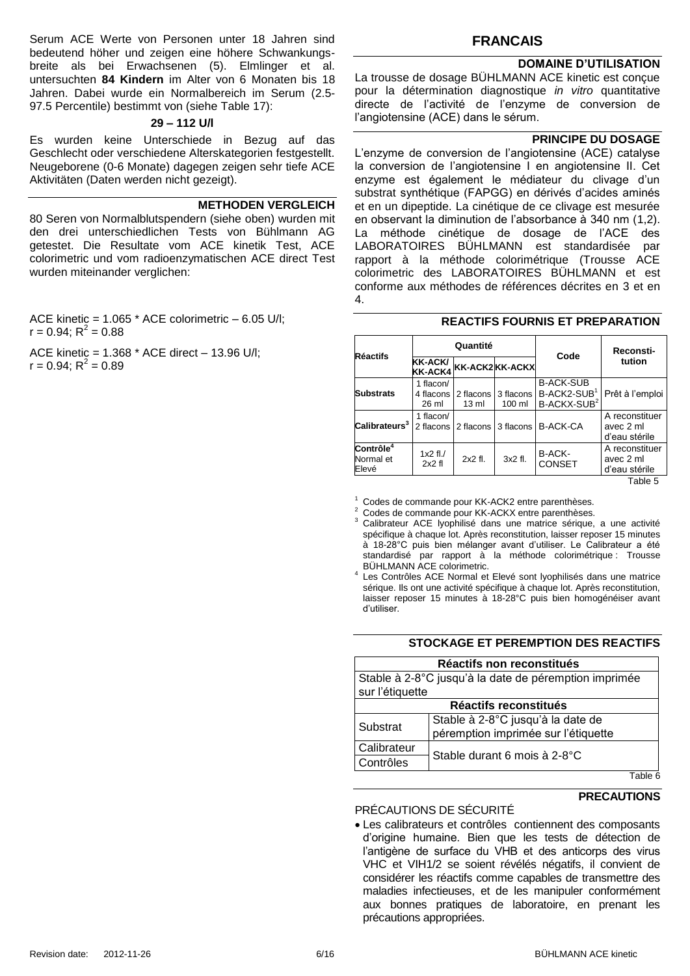Serum ACE Werte von Personen unter 18 Jahren sind bedeutend höher und zeigen eine höhere Schwankungsbreite als bei Erwachsenen [\(5\)](#page-14-2). Elmlinger et al. untersuchten **84 Kindern** im Alter von 6 Monaten bis 18 Jahren. Dabei wurde ein Normalbereich im Serum (2.5- 97.5 Percentile) bestimmt von (siehe [Table 17\)](#page-13-7):

#### **29 – 112 U/l**

Es wurden keine Unterschiede in Bezug auf das Geschlecht oder verschiedene Alterskategorien festgestellt. Neugeborene (0-6 Monate) dagegen zeigen sehr tiefe ACE Aktivitäten (Daten werden nicht gezeigt).

#### **METHODEN VERGLEICH**

80 Seren von Normalblutspendern (siehe oben) wurden mit den drei unterschiedlichen Tests von Bühlmann AG getestet. Die Resultate vom ACE kinetik Test, ACE colorimetric und vom radioenzymatischen ACE direct Test wurden miteinander verglichen:

ACE kinetic = 1.065 \* ACE colorimetric – 6.05 U/l;  $r = 0.94; R^2 = 0.88$ 

ACE kinetic = 1.368 \* ACE direct – 13.96 U/l;  $r = 0.94; R^2 = 0.89$ 

#### **FRANCAIS**

#### **DOMAINE D'UTILISATION**

La trousse de dosage BÜHLMANN ACE kinetic est conçue pour la détermination diagnostique *in vitro* quantitative directe de l'activité de l'enzyme de conversion de l'angiotensine (ACE) dans le sérum.

#### **PRINCIPE DU DOSAGE**

L'enzyme de conversion de l'angiotensine (ACE) catalyse la conversion de l'angiotensine I en angiotensine II. Cet enzyme est également le médiateur du clivage d'un substrat synthétique (FAPGG) en dérivés d'acides aminés et en un dipeptide. La cinétique de ce clivage est mesurée en observant la diminution de l'absorbance à 340 nm (1[,2\)](#page-14-0). La méthode cinétique de dosage de l'ACE des LABORATOIRES BÜHLMANN est standardisée par rapport à la méthode colorimétrique (Trousse ACE colorimetric des LABORATOIRES BÜHLMANN et est conforme aux méthodes de références décrites en [3](#page-14-1) et en [4.](#page-14-4)

| Quantité<br>Réactifs<br>KK-ACK/<br><b>KK-ACK2KK-ACKX</b><br><b>KK-ACK4</b> |                        |                              |                     |                                       | Reconsti-                                    |
|----------------------------------------------------------------------------|------------------------|------------------------------|---------------------|---------------------------------------|----------------------------------------------|
|                                                                            | Code                   | tution                       |                     |                                       |                                              |
|                                                                            | 1 flacon/              |                              |                     | <b>B-ACK-SUB</b>                      |                                              |
| <b>Substrats</b>                                                           | 4 flacons<br>26 ml     | 2 flacons<br>$13 \text{ ml}$ | 3 flacons<br>100 ml | B-ACK2-SUB<br>B-ACKX-SUB <sup>2</sup> | Prêt à l'emploi                              |
| ${\sf Calibrateurs}^3$                                                     | 1 flacon/<br>2 flacons |                              | 2 flacons 3 flacons | <b>B-ACK-CA</b>                       | A reconstituer<br>avec 2 ml<br>d'eau stérile |
| Contrôle <sup>4</sup><br>Normal et<br>Elevé                                | $1x2$ fl./<br>2x2f1    | $2x2$ fl.                    | 3x2 fl.             | B-ACK-<br><b>CONSET</b>               | A reconstituer<br>avec 2 ml<br>d'eau stérile |
|                                                                            |                        |                              |                     |                                       | Table 5                                      |

#### **REACTIFS FOURNIS ET PREPARATION**

<sup>1</sup> Codes de commande pour KK-ACK2 entre parenthèses.

<sup>2</sup> Codes de commande pour KK-ACKX entre parenthèses.

Calibrateur ACE lyophilisé dans une matrice sérique, a une activité spécifique à chaque lot. Après reconstitution, laisser reposer 15 minutes à 18-28°C puis bien mélanger avant d'utiliser. Le Calibrateur a été standardisé par rapport à la méthode colorimétrique : Trousse BÜHLMANN ACE colorimetric.

4 Les Contrôles ACE Normal et Elevé sont lyophilisés dans une matrice sérique. Ils ont une activité spécifique à chaque lot. Après reconstitution, laisser reposer 15 minutes à 18-28°C puis bien homogénéiser avant d'utiliser.

#### **STOCKAGE ET PEREMPTION DES REACTIFS**

|                 | Réactifs non reconstitués                             |  |  |
|-----------------|-------------------------------------------------------|--|--|
|                 | Stable à 2-8°C jusqu'à la date de péremption imprimée |  |  |
| sur l'étiquette |                                                       |  |  |
|                 | Réactifs reconstitués                                 |  |  |
|                 | Stable à 2-8°C jusqu'à la date de                     |  |  |
| Substrat        | péremption imprimée sur l'étiquette                   |  |  |
| Calibrateur     |                                                       |  |  |
| Contrôles       | Stable durant 6 mois à 2-8°C                          |  |  |
|                 | Tahle 6                                               |  |  |

Table 6

#### **PRECAUTIONS**

#### PRÉCAUTIONS DE SÉCURITÉ

 Les calibrateurs et contrôles contiennent des composants d'origine humaine. Bien que les tests de détection de l'antigène de surface du VHB et des anticorps des virus VHC et VIH1/2 se soient révélés négatifs, il convient de considérer les réactifs comme capables de transmettre des maladies infectieuses, et de les manipuler conformément aux bonnes pratiques de laboratoire, en prenant les précautions appropriées.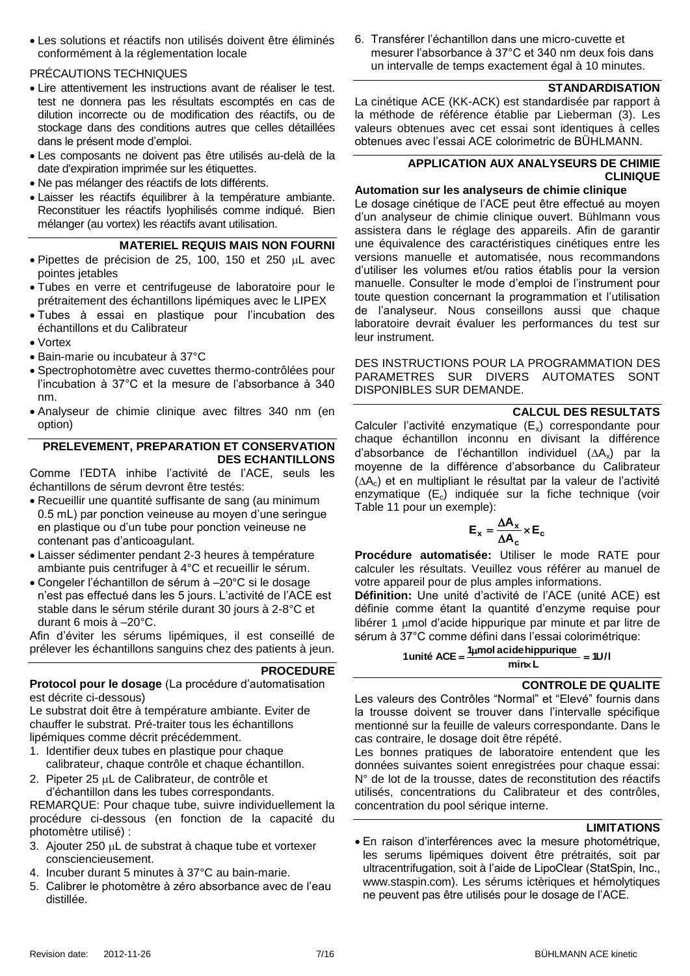Les solutions et réactifs non utilisés doivent être éliminés conformément à la réglementation locale

#### PRÉCAUTIONS TECHNIQUES

- Lire attentivement les instructions avant de réaliser le test. test ne donnera pas les résultats escomptés en cas de dilution incorrecte ou de modification des réactifs, ou de stockage dans des conditions autres que celles détaillées dans le présent mode d'emploi.
- Les composants ne doivent pas être utilisés au-delà de la date d'expiration imprimée sur les étiquettes.
- Ne pas mélanger des réactifs de lots différents.
- Laisser les réactifs équilibrer à la température ambiante. Reconstituer les réactifs lyophilisés comme indiqué. Bien mélanger (au vortex) les réactifs avant utilisation.

#### **MATERIEL REQUIS MAIS NON FOURNI**

- $\bullet$  Pipettes de précision de 25, 100, 150 et 250 µL avec pointes jetables
- Tubes en verre et centrifugeuse de laboratoire pour le prétraitement des échantillons lipémiques avec le LIPEX
- Tubes à essai en plastique pour l'incubation des échantillons et du Calibrateur
- Vortex
- Bain-marie ou incubateur à 37°C
- Spectrophotomètre avec cuvettes thermo-contrôlées pour l'incubation à 37°C et la mesure de l'absorbance à 340 nm.
- Analyseur de chimie clinique avec filtres 340 nm (en option)

#### **PRELEVEMENT, PREPARATION ET CONSERVATION DES ECHANTILLONS**

Comme l'EDTA inhibe l'activité de l'ACE, seuls les échantillons de sérum devront être testés:

- Recueillir une quantité suffisante de sang (au minimum 0.5 mL) par ponction veineuse au moyen d'une seringue en plastique ou d'un tube pour ponction veineuse ne contenant pas d'anticoagulant.
- Laisser sédimenter pendant 2-3 heures à température ambiante puis centrifuger à 4°C et recueillir le sérum.
- Congeler l'échantillon de sérum à –20°C si le dosage n'est pas effectué dans les 5 jours. L'activité de l'ACE est stable dans le sérum stérile durant 30 jours à 2-8°C et durant 6 mois à –20°C.

Afin d'éviter les sérums lipémiques, il est conseillé de prélever les échantillons sanguins chez des patients à jeun.

#### **PROCEDURE**

**Protocol pour le dosage** (La procédure d'automatisation est décrite ci-dessous)

Le substrat doit être à température ambiante. Eviter de chauffer le substrat. Pré-traiter tous les échantillons lipémiques comme décrit précédemment.

- 1. Identifier deux tubes en plastique pour chaque calibrateur, chaque contrôle et chaque échantillon.
- 2. Pipeter 25 µL de Calibrateur, de contrôle et d'échantillon dans les tubes correspondants.

REMARQUE: Pour chaque tube, suivre individuellement la procédure ci-dessous (en fonction de la capacité du photomètre utilisé) :

- 3. Ajouter 250 µL de substrat à chaque tube et vortexer consciencieusement.
- 4. Incuber durant 5 minutes à 37°C au bain-marie.
- 5. Calibrer le photomètre à zéro absorbance avec de l'eau distillée.

6. Transférer l'échantillon dans une micro-cuvette et mesurer l'absorbance à 37°C et 340 nm deux fois dans un intervalle de temps exactement égal à 10 minutes.

#### **STANDARDISATION**

La cinétique ACE (KK-ACK) est standardisée par rapport à la méthode de référence établie par Lieberman [\(3\)](#page-14-1). Les valeurs obtenues avec cet essai sont identiques à celles obtenues avec l'essai ACE colorimetric de BÜHLMANN.

#### **APPLICATION AUX ANALYSEURS DE CHIMIE CLINIQUE**

#### **Automation sur les analyseurs de chimie clinique**

Le dosage cinétique de l'ACE peut être effectué au moyen d'un analyseur de chimie clinique ouvert. Bühlmann vous assistera dans le réglage des appareils. Afin de garantir une équivalence des caractéristiques cinétiques entre les versions manuelle et automatisée, nous recommandons d'utiliser les volumes et/ou ratios établis pour la version manuelle. Consulter le mode d'emploi de l'instrument pour toute question concernant la programmation et l'utilisation de l'analyseur. Nous conseillons aussi que chaque laboratoire devrait évaluer les performances du test sur leur instrument.

DES INSTRUCTIONS POUR LA PROGRAMMATION DES PARAMETRES SUR DIVERS AUTOMATES SONT DISPONIBLES SUR DEMANDE.

#### **CALCUL DES RESULTATS**

Calculer l'activité enzymatique (E<sub>x</sub>) correspondante pour chaque échantillon inconnu en divisant la différence d'absorbance de l'échantillon individuel  $( \Delta A_{v})$  par la moyenne de la différence d'absorbance du Calibrateur  $( \Delta A_c )$  et en multipliant le résultat par la valeur de l'activité enzymatique  $(E_c)$  indiquée sur la fiche technique (voir [Table 11](#page-13-0) pour un exemple):

$$
\textbf{E}_{\textbf{x}} = \frac{\Delta \textbf{A}_{\textbf{x}}}{\Delta \textbf{A}_{\textbf{c}}} \times \textbf{E}_{\textbf{c}}
$$

**Procédure automatisée:** Utiliser le mode RATE pour calculer les résultats. Veuillez vous référer au manuel de votre appareil pour de plus amples informations.

**Définition:** Une unité d'activité de l'ACE (unité ACE) est définie comme étant la quantité d'enzyme requise pour libérer 1  $\mu$ mol d'acide hippurique par minute et par litre de sérum à 37°C comme défini dans l'essai colorimétrique:

1 unité ACE = 
$$
\frac{1 \mu mol \, acide \, hipurique}{\text{minx L}} = 10/1
$$

#### **CONTROLE DE QUALITE**

Les valeurs des Contrôles "Normal" et "Elevé" fournis dans la trousse doivent se trouver dans l'intervalle spécifique mentionné sur la feuille de valeurs correspondante. Dans le cas contraire, le dosage doit être répété.

Les bonnes pratiques de laboratoire entendent que les données suivantes soient enregistrées pour chaque essai: N° de lot de la trousse, dates de reconstitution des réactifs utilisés, concentrations du Calibrateur et des contrôles, concentration du pool sérique interne.

#### **LIMITATIONS**

 En raison d'interférences avec la mesure photométrique, les serums lipémiques doivent être prétraités, soit par ultracentrifugation, soit à l'aide de LipoClear (StatSpin, Inc., www.staspin.com). Les sérums ictèriques et hémolytiques ne peuvent pas être utilisés pour le dosage de l'ACE.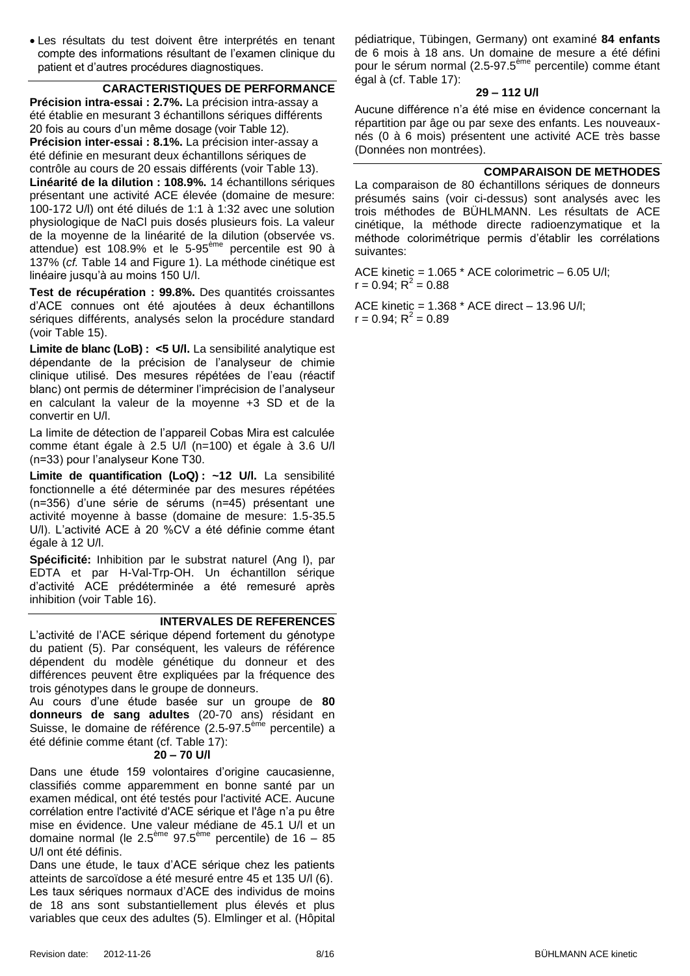Les résultats du test doivent être interprétés en tenant compte des informations résultant de l'examen clinique du patient et d'autres procédures diagnostiques.

#### **CARACTERISTIQUES DE PERFORMANCE**

<span id="page-7-0"></span>**Précision intra-essai : 2.7%.** La précision intra-assay a été établie en mesurant 3 échantillons sériques différents 20 fois au cours d'un même dosage (voir [Table 12\)](#page-13-1). **Précision inter-essai : 8.1%.** La précision inter-assay a été définie en mesurant deux échantillons sériques de contrôle au cours de 20 essais différents (voir [Table 13\)](#page-13-2). **Linéarité de la dilution : 108.9%.** 14 échantillons sériques présentant une activité ACE élevée (domaine de mesure: 100-172 U/l) ont été dilués de 1:1 à 1:32 avec une solution

physiologique de NaCl puis dosés plusieurs fois. La valeur de la moyenne de la linéarité de la dilution (observée vs. attendue) est 108.9% et le 5-95<sup>ème</sup> percentile est 90 à 137% (*cf.* [Table 14](#page-13-3) and [Figure 1\)](#page-13-4). La méthode cinétique est linéaire jusqu'à au moins 150 U/l.

**Test de récupération : 99.8%.** Des quantités croissantes d'ACE connues ont été ajoutées à deux échantillons sériques différents, analysés selon la procédure standard (voir [Table 15\)](#page-13-5).

**Limite de blanc (LoB) : <5 U/l.** La sensibilité analytique est dépendante de la précision de l'analyseur de chimie clinique utilisé. Des mesures répétées de l'eau (réactif blanc) ont permis de déterminer l'imprécision de l'analyseur en calculant la valeur de la moyenne +3 SD et de la convertir en U/l.

La limite de détection de l'appareil Cobas Mira est calculée comme étant égale à 2.5 U/l (n=100) et égale à 3.6 U/l (n=33) pour l'analyseur Kone T30.

**Limite de quantification (LoQ) : ~12 U/l.** La sensibilité fonctionnelle a été déterminée par des mesures répétées (n=356) d'une série de sérums (n=45) présentant une activité moyenne à basse (domaine de mesure: 1.5-35.5 U/l). L'activité ACE à 20 %CV a été définie comme étant égale à 12 U/l.

**Spécificité:** Inhibition par le substrat naturel (Ang I), par EDTA et par H-Val-Trp-OH. Un échantillon sérique d'activité ACE prédéterminée a été remesuré après inhibition (voir [Table 16\)](#page-13-6).

#### **INTERVALES DE REFERENCES**

L'activité de l'ACE sérique dépend fortement du génotype du patient [\(5\)](#page-14-2). Par conséquent, les valeurs de référence dépendent du modèle génétique du donneur et des différences peuvent être expliquées par la fréquence des trois génotypes dans le groupe de donneurs.

Au cours d'une étude basée sur un groupe de **80 donneurs de sang adultes** (20-70 ans) résidant en Suisse, le domaine de référence (2.5-97.5<sup>ème</sup> percentile) a été définie comme étant (cf. [Table 17\)](#page-13-7):

#### **20 – 70 U/l**

Dans une étude 159 volontaires d'origine caucasienne, classifiés comme apparemment en bonne santé par un examen médical, ont été testés pour l'activité ACE. Aucune corrélation entre l'activité d'ACE sérique et l'âge n'a pu être mise en évidence. Une valeur médiane de 45.1 U/l et un domaine normal (le 2.5<sup>ème</sup> 97.5<sup>ème</sup> percentile) de 16 – 85 U/l ont été définis.

Dans une étude, le taux d'ACE sérique chez les patients atteints de sarcoïdose a été mesuré entre 45 et 135 U/l [\(6\)](#page-14-3). Les taux sériques normaux d'ACE des individus de moins de 18 ans sont substantiellement plus élevés et plus variables que ceux des adultes [\(5\)](#page-14-2). Elmlinger et al. (Hôpital pédiatrique, Tübingen, Germany) ont examiné **84 enfants** de 6 mois à 18 ans. Un domaine de mesure a été défini pour le sérum normal (2.5-97.5<sup>ème</sup> percentile) comme étant égal à (cf. [Table 17\)](#page-13-7):

#### **29 – 112 U/l**

Aucune différence n'a été mise en évidence concernant la répartition par âge ou par sexe des enfants. Les nouveauxnés (0 à 6 mois) présentent une activité ACE très basse (Données non montrées).

#### **COMPARAISON DE METHODES**

La comparaison de 80 échantillons sériques de donneurs présumés sains (voir ci-dessus) sont analysés avec les trois méthodes de BÜHLMANN. Les résultats de ACE cinétique, la méthode directe radioenzymatique et la méthode colorimétrique permis d'établir les corrélations suivantes:

ACE kinetic =  $1.065$  \* ACE colorimetric  $-6.05$  U/l;  $r = 0.94; R^2 = 0.88$ 

ACE kinetic = 1.368 \* ACE direct – 13.96 U/l;  $r = 0.94; R^2 = 0.89$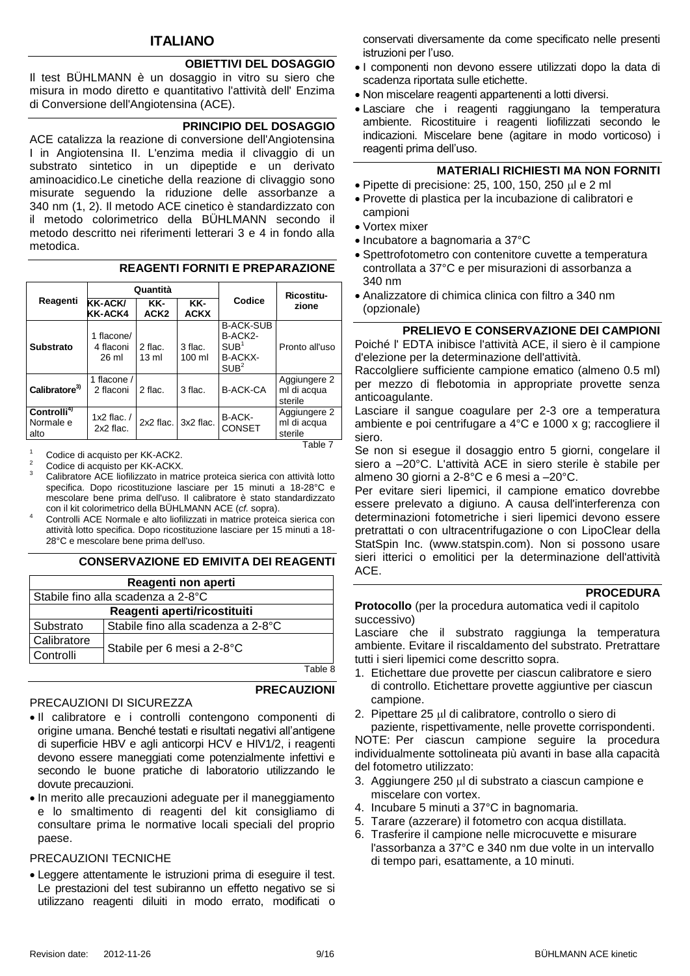#### **ITALIANO**

#### **OBIETTIVI DEL DOSAGGIO**

Il test BÜHLMANN è un dosaggio in vitro su siero che misura in modo diretto e quantitativo l'attività dell' Enzima di Conversione dell'Angiotensina (ACE).

#### **PRINCIPIO DEL DOSAGGIO**

ACE catalizza la reazione di conversione dell'Angiotensina I in Angiotensina II. L'enzima media il clivaggio di un substrato sintetico in un dipeptide e un derivato aminoacidico.Le cinetiche della reazione di clivaggio sono misurate seguendo la riduzione delle assorbanze a 340 nm (1, 2). Il metodo ACE cinetico è standardizzato con il metodo colorimetrico della BÜHLMANN secondo il metodo descritto nei riferimenti letterari 3 e 4 in fondo alla metodica.

|                                              |                                  | Quantità                   |                              |                                                                                       | <b>Ricostitu-</b>                      |  |
|----------------------------------------------|----------------------------------|----------------------------|------------------------------|---------------------------------------------------------------------------------------|----------------------------------------|--|
| Reagenti                                     | <b>KK-ACK/</b><br>KK-ACK4        | KK-<br>ACK <sub>2</sub>    | KK-<br><b>ACKX</b>           | Codice                                                                                | zione                                  |  |
| <b>Substrato</b>                             | 1 flacone/<br>4 flaconi<br>26 ml | 2 flac.<br>$13 \text{ ml}$ | 3 flac.<br>$100 \mathrm{ml}$ | <b>B-ACK-SUB</b><br>B-ACK2-<br>SUB <sup>1</sup><br><b>B-ACKX-</b><br>SUB <sup>2</sup> | Pronto all'uso                         |  |
| Calibratore <sup>3)</sup>                    | 1 flacone /<br>2 flaconi         | 2 flac.                    | 3 flac.                      | <b>B-ACK-CA</b>                                                                       | Aggiungere 2<br>ml di acqua<br>sterile |  |
| Controlli <sup>4)</sup><br>Normale e<br>alto | 1x2 flac. $/$<br>2x2 flac.       | 2x2 flac.                  | 3x2 flac.                    | B-ACK-<br><b>CONSET</b>                                                               | Aggiungere 2<br>ml di acqua<br>sterile |  |
|                                              |                                  |                            |                              |                                                                                       | 7 Ahle T                               |  |

#### **REAGENTI FORNITI E PREPARAZIONE**

<sup>1</sup> Codice di acquisto per KK-ACK2.

Codice di acquisto per KK-ACKX. <sup>3</sup> Calibratore ACE liofilizzato in matrice proteica sierica con attività lotto specifica. Dopo ricostituzione lasciare per 15 minuti a 18-28°C e mescolare bene prima dell'uso. Il calibratore è stato standardizzato

con il kit colorimetrico della BÜHLMANN ACE (*cf.* sopra). Controlli ACE Normale e alto liofilizzati in matrice proteica sierica con attività lotto specifica. Dopo ricostituzione lasciare per 15 minuti a 18- 28°C e mescolare bene prima dell'uso.

#### **CONSERVAZIONE ED EMIVITA DEI REAGENTI**

| Reagenti non aperti |                                    |         |
|---------------------|------------------------------------|---------|
|                     | Stabile fino alla scadenza a 2-8°C |         |
|                     | Reagenti aperti/ricostituiti       |         |
| Substrato           | Stabile fino alla scadenza a 2-8°C |         |
| Calibratore         |                                    |         |
| Controlli           | Stabile per 6 mesi a 2-8°C         |         |
|                     |                                    | Table 8 |

#### PRECAUZIONI DI SICUREZZA

#### **PRECAUZIONI**

- Il calibratore e i controlli contengono componenti di origine umana. Benché testati e risultati negativi all'antigene di superficie HBV e agli anticorpi HCV e HIV1/2, i reagenti devono essere maneggiati come potenzialmente infettivi e secondo le buone pratiche di laboratorio utilizzando le dovute precauzioni.
- In merito alle precauzioni adeguate per il maneggiamento e lo smaltimento di reagenti del kit consigliamo di consultare prima le normative locali speciali del proprio paese.

#### PRECAUZIONI TECNICHE

 Leggere attentamente le istruzioni prima di eseguire il test. Le prestazioni del test subiranno un effetto negativo se si utilizzano reagenti diluiti in modo errato, modificati o

conservati diversamente da come specificato nelle presenti istruzioni per l'uso.

- I componenti non devono essere utilizzati dopo la data di scadenza riportata sulle etichette.
- Non miscelare reagenti appartenenti a lotti diversi.
- Lasciare che i reagenti raggiungano la temperatura ambiente. Ricostituire i reagenti liofilizzati secondo le indicazioni. Miscelare bene (agitare in modo vorticoso) i reagenti prima dell'uso.

#### **MATERIALI RICHIESTI MA NON FORNITI**

- $\bullet$  Pipette di precisione: 25, 100, 150, 250  $\mu$ l e 2 ml
- Provette di plastica per la incubazione di calibratori e campioni
- Vortex mixer
- Incubatore a bagnomaria a 37°C
- Spettrofotometro con contenitore cuvette a temperatura controllata a 37°C e per misurazioni di assorbanza a 340 nm
- Analizzatore di chimica clinica con filtro a 340 nm (opzionale)

#### **PRELIEVO E CONSERVAZIONE DEI CAMPIONI**

Poiché l' EDTA inibisce l'attività ACE, il siero è il campione d'elezione per la determinazione dell'attività.

Raccolgliere sufficiente campione ematico (almeno 0.5 ml) per mezzo di flebotomia in appropriate provette senza anticoagulante.

Lasciare il sangue coagulare per 2-3 ore a temperatura ambiente e poi centrifugare a 4°C e 1000 x g; raccogliere il siero.

Se non si esegue il dosaggio entro 5 giorni, congelare il siero a –20°C. L'attività ACE in siero sterile è stabile per almeno 30 giorni a 2-8°C e 6 mesi a –20°C.

Per evitare sieri lipemici, il campione ematico dovrebbe essere prelevato a digiuno. A causa dell'interferenza con determinazioni fotometriche i sieri lipemici devono essere pretrattati o con ultracentrifugazione o con LipoClear della StatSpin Inc. (www.statspin.com). Non si possono usare sieri itterici o emolitici per la determinazione dell'attività ACE.

#### **PROCEDURA**

**Protocollo** (per la procedura automatica vedi il capitolo successivo)

Lasciare che il substrato raggiunga la temperatura ambiente. Evitare il riscaldamento del substrato. Pretrattare tutti i sieri lipemici come descritto sopra.

- 1. Etichettare due provette per ciascun calibratore e siero di controllo. Etichettare provette aggiuntive per ciascun campione.
- 2. Pipettare 25 µl di calibratore, controllo o siero di

paziente, rispettivamente, nelle provette corrispondenti. NOTE: Per ciascun campione seguire la procedura individualmente sottolineata più avanti in base alla capacità del fotometro utilizzato:

- 3. Aggiungere 250 µl di substrato a ciascun campione e miscelare con vortex.
- 4. Incubare 5 minuti a 37°C in bagnomaria.
- 5. Tarare (azzerare) il fotometro con acqua distillata.
- 6. Trasferire il campione nelle microcuvette e misurare l'assorbanza a 37°C e 340 nm due volte in un intervallo di tempo pari, esattamente, a 10 minuti.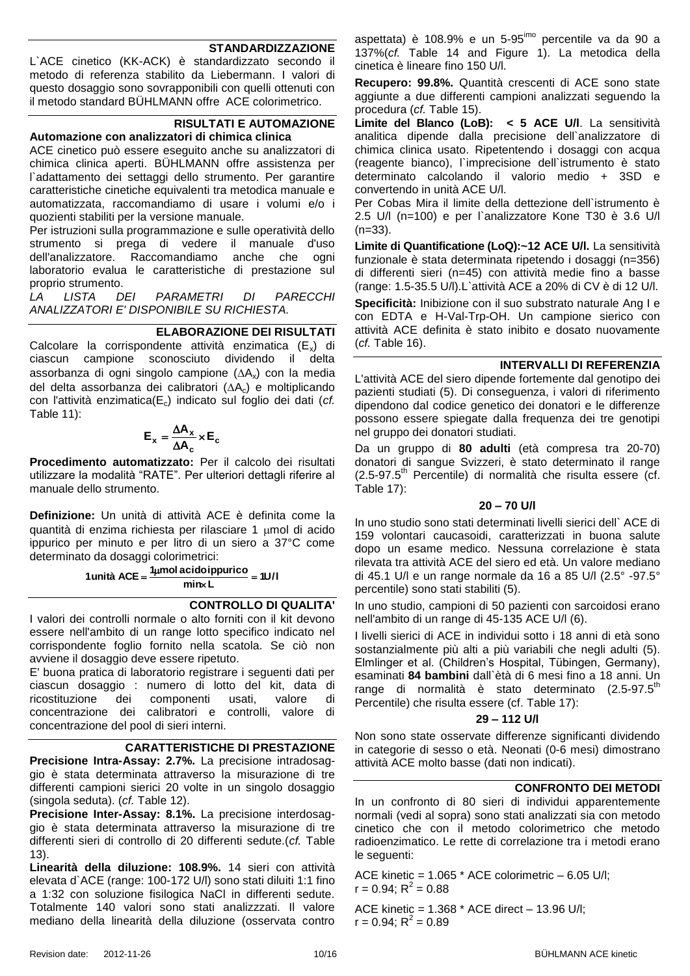#### **STANDARDIZZAZIONE**

L`ACE cinetico (KK-ACK) è standardizzato secondo il metodo di referenza stabilito da Liebermann. I valori di questo dosaggio sono sovrapponibili con quelli ottenuti con il metodo standard BÜHLMANN offre ACE colorimetrico.

#### **RISULTATI E AUTOMAZIONE Automazione con analizzatori di chimica clinica**

ACE cinetico può essere eseguito anche su analizzatori di chimica clinica aperti. BÜHLMANN offre assistenza per l'adattamento dei settaggi dello strumento. Per garantire caratteristiche cinetiche equivalenti tra metodica manuale e automatizzata, raccomandiamo di usare i volumi e/o i quozienti stabiliti per la versione manuale.

Per istruzioni sulla programmazione e sulle operatività dello strumento si prega di vedere il manuale d'uso dell'analizzatore. Raccomandiamo anche che ogni laboratorio evalua le caratteristiche di prestazione sul proprio strumento.

*LA LISTA DEI PARAMETRI DI PARECCHI ANALIZZATORI E' DISPONIBILE SU RICHIESTA.*

#### **ELABORAZIONE DEI RISULTATI**

Calcolare la corrispondente attività enzimatica  $(E_x)$  di ciascun campione sconosciuto dividendo il delta assorbanza di ogni singolo campione  $( \Delta A_x )$  con la media del delta assorbanza dei calibratori  $( \Delta A_c )$  e moltiplicando con l'attività enzimatica(Ec) indicato sul foglio dei dati (*cf.*  [Table 11\)](#page-13-0):

$$
\mathbf{E}_{\mathbf{x}} = \frac{\Delta \mathbf{A}_{\mathbf{x}}}{\Delta \mathbf{A}_{\mathbf{c}}} \times \mathbf{E}_{\mathbf{c}}
$$

**Procedimento automatizzato:** Per il calcolo dei risultati utilizzare la modalità "RATE". Per ulteriori dettagli riferire al manuale dello strumento.

**Definizione:** Un unità di attività ACE è definita come la quantità di enzima richiesta per rilasciare 1 umol di acido ippurico per minuto e per litro di un siero a 37°C come determinato da dosaggi colorimetrici:

> **1U/l <sup>1</sup> mol acidoippurico 1unità ACE min L**

#### **CONTROLLO DI QUALITA'**

I valori dei controlli normale o alto forniti con il kit devono essere nell'ambito di un range lotto specifico indicato nel corrispondente foglio fornito nella scatola. Se ciò non avviene il dosaggio deve essere ripetuto.

E' buona pratica di laboratorio registrare i seguenti dati per ciascun dosaggio : numero di lotto del kit, data di ricostituzione dei componenti usati, valore di concentrazione dei calibratori e controlli, valore di concentrazione del pool di sieri interni.

#### **CARATTERISTICHE DI PRESTAZIONE**

<span id="page-9-0"></span>**Precisione Intra-Assay: 2.7%.** La precisione intradosaggio è stata determinata attraverso la misurazione di tre differenti campioni sierici 20 volte in un singolo dosaggio (singola seduta). (*cf.* [Table 12\)](#page-13-1).

**Precisione Inter-Assay: 8.1%.** La precisione interdosaggio è stata determinata attraverso la misurazione di tre differenti sieri di controllo di 20 differenti sedute.(*cf.* [Table](#page-13-2)  [13\)](#page-13-2).

**Linearità della diluzione: 108.9%.** 14 sieri con attività elevata d`ACE (range: 100-172 U/l) sono stati diluiti 1:1 fino a 1:32 con soluzione fisilogica NaCl in differenti sedute. Totalmente 140 valori sono stati analizzzati. Il valore mediano della linearità della diluzione (osservata contro

aspettata) è 108.9% e un 5-95<sup>imo</sup> percentile va da 90 a 137%(*cf.* [Table 14](#page-13-3) and [Figure 1\)](#page-13-4). La metodica della cinetica è lineare fino 150 U/l.

**Recupero: 99.8%.** Quantità crescenti di ACE sono state aggiunte a due differenti campioni analizzati seguendo la procedura (*cf.* [Table 15\)](#page-13-5).

**Limite del Blanco (LoB): < 5 ACE U/l**. La sensitività analitica dipende dalla precisione dell`analizzatore di chimica clinica usato. Ripetentendo i dosaggi con acqua (reagente bianco), l`imprecisione dell`istrumento è stato determinato calcolando il valorio medio + 3SD e convertendo in unità ACE U/l.

Per Cobas Mira il limite della dettezione dell'istrumento è 2.5 U/l (n=100) e per l`analizzatore Kone T30 è 3.6 U/l  $(n=33)$ .

Limite di Quantificatione (LoQ):~12 ACE U/I. La sensitività funzionale è stata determinata ripetendo i dosaggi (n=356) di differenti sieri (n=45) con attività medie fino a basse (range: 1.5-35.5 U/l).L`attività ACE a 20% di CV è di 12 U/l.

**Specificità:** Inibizione con il suo substrato naturale Ang I e con EDTA e H-Val-Trp-OH. Un campione sierico con attività ACE definita è stato inibito e dosato nuovamente (*cf.* [Table 16\)](#page-13-6).

#### **INTERVALLI DI REFERENZIA**

L'attività ACE del siero dipende fortemente dal genotipo dei pazienti studiati [\(5\)](#page-14-2). Di conseguenza, i valori di riferimento dipendono dal codice genetico dei donatori e le differenze possono essere spiegate dalla frequenza dei tre genotipi nel gruppo dei donatori studiati.

Da un gruppo di **80 adulti** (età compresa tra 20-70) donatori di sangue Svizzeri, è stato determinato il range (2.5-97.5th Percentile) di normalità che risulta essere (cf. [Table 17\)](#page-13-7):

#### **20 – 70 U/l**

In uno studio sono stati determinati livelli sierici dell` ACE di 159 volontari caucasoidi, caratterizzati in buona salute dopo un esame medico. Nessuna correlazione è stata rilevata tra attività ACE del siero ed età. Un valore mediano di 45.1 U/l e un range normale da 16 a 85 U/l (2.5° -97.5° percentile) sono stati stabiliti [\(5\)](#page-14-2).

In uno studio, campioni di 50 pazienti con sarcoidosi erano nell'ambito di un range di 45-135 ACE U/l [\(6\)](#page-14-3).

I livelli sierici di ACE in individui sotto i 18 anni di età sono sostanzialmente più alti a più variabili che negli adulti [\(5\)](#page-14-2). Elmlinger et al. (Children's Hospital, Tübingen, Germany), esaminati **84 bambini** dall`ètà di 6 mesi fino a 18 anni. Un range di normalità è stato determinato (2.5-97.5<sup>th</sup> Percentile) che risulta essere (cf. [Table 17\)](#page-13-7):

#### **29 – 112 U/l**

Non sono state osservate differenze significanti dividendo in categorie di sesso o età. Neonati (0-6 mesi) dimostrano attività ACE molto basse (dati non indicati).

#### **CONFRONTO DEI METODI**

In un confronto di 80 sieri di individui apparentemente normali (vedi al sopra) sono stati analizzati sia con metodo cinetico che con il metodo colorimetrico che metodo radioenzimatico. Le rette di correlazione tra i metodi erano le seguenti:

ACE kinetic = 1.065 \* ACE colorimetric – 6.05 U/l;  $r = 0.94; R^2 = 0.88$ 

ACE kinetic = 1.368 \* ACE direct – 13.96 U/l;  $r = 0.94; R^2 = 0.89$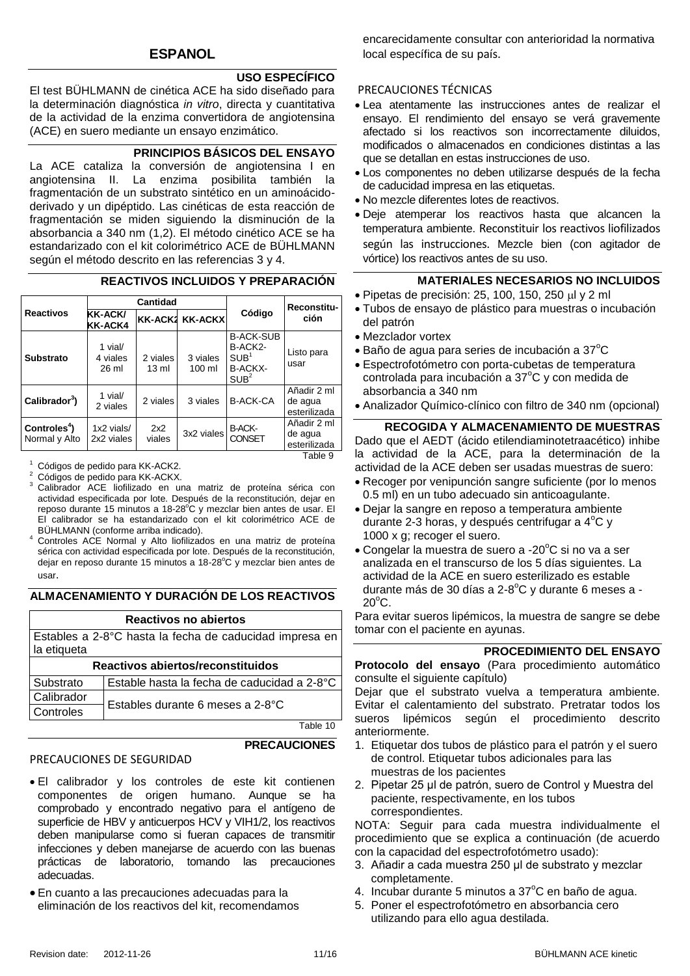#### **USO ESPECÍFICO**

El test BÜHLMANN de cinética ACE ha sido diseñado para la determinación diagnóstica *in vitro*, directa y cuantitativa de la actividad de la enzima convertidora de angiotensina (ACE) en suero mediante un ensayo enzimático.

#### **PRINCIPIOS BÁSICOS DEL ENSAYO**

La ACE cataliza la conversión de angiotensina I en angiotensina II. La enzima posibilita también la fragmentación de un substrato sintético en un aminoácidoderivado y un dipéptido. Las cinéticas de esta reacción de fragmentación se miden siguiendo la disminución de la absorbancia a 340 nm (1[,2\)](#page-14-0). El método cinético ACE se ha estandarizado con el kit colorimétrico ACE de BÜHLMANN según el método descrito en las referencias [3](#page-14-1) y [4.](#page-14-4)

#### **REACTIVOS INCLUIDOS Y PREPARACIÓN**

|                                           |                                  | Cantidad          |                        |                                                                                | Reconstitu-                            |  |
|-------------------------------------------|----------------------------------|-------------------|------------------------|--------------------------------------------------------------------------------|----------------------------------------|--|
| <b>Reactivos</b>                          | <b>KK-ACK/</b><br><b>KK-ACK4</b> |                   | <b>KK-ACK2 KK-ACKX</b> | Código                                                                         | ción                                   |  |
| <b>Substrato</b>                          | 1 vial/<br>4 viales<br>26 ml     | 2 viales<br>13 ml | 3 viales<br>$100$ ml   | <b>B-ACK-SUB</b><br>B-ACK2-<br>SUB <sup>1</sup><br>B-ACKX-<br>SUB <sup>2</sup> | Listo para<br>usar                     |  |
| Calibrador <sup>3</sup> )                 | 1 vial/<br>2 viales              | 2 viales          | 3 viales               | <b>B-ACK-CA</b>                                                                | Añadir 2 ml<br>de agua<br>esterilizada |  |
| Controles <sup>4</sup> )<br>Normal y Alto | 1x2 vials/<br>2x2 viales         | 2x2<br>viales     | 3x2 viales             | <b>B-ACK-</b><br><b>CONSET</b>                                                 | Añadir 2 ml<br>de agua<br>esterilizada |  |
|                                           |                                  |                   |                        |                                                                                | Table 9                                |  |

<sup>1</sup> Códigos de pedido para KK-ACK2.

Códigos de pedido para KK-ACKX.

- Calibrador ACE liofilizado en una matriz de proteína sérica con actividad especificada por lote. Después de la reconstitución, dejar en reposo durante 15 minutos a 18-28°C y mezclar bien antes de usar. El El calibrador se ha estandarizado con el kit colorimétrico ACE de BÜHLMANN (conforme arriba indicado).
- Controles ACE Normal y Alto liofilizados en una matriz de proteína sérica con actividad especificada por lote. Después de la reconstitución, dejar en reposo durante 15 minutos a 18-28°C y mezclar bien antes de usar.

#### **ALMACENAMIENTO Y DURACIÓN DE LOS REACTIVOS**

|                                   | Reactivos no abiertos                                   |  |  |
|-----------------------------------|---------------------------------------------------------|--|--|
|                                   | Estables a 2-8°C hasta la fecha de caducidad impresa en |  |  |
| la etiqueta                       |                                                         |  |  |
| Reactivos abiertos/reconstituidos |                                                         |  |  |
| Substrato                         | Estable hasta la fecha de caducidad a 2-8°C             |  |  |
| Calibrador                        |                                                         |  |  |
| Controles                         | Estables durante 6 meses a 2-8°C                        |  |  |
|                                   | 10 Ahle                                                 |  |  |

Table 10

#### PRECAUCIONES DE SEGURIDAD

- **PRECAUCIONES**
- El calibrador y los controles de este kit contienen componentes de origen humano. Aunque se ha comprobado y encontrado negativo para el antígeno de superficie de HBV y anticuerpos HCV y VIH1/2, los reactivos deben manipularse como si fueran capaces de transmitir infecciones y deben manejarse de acuerdo con las buenas prácticas de laboratorio, tomando las precauciones adecuadas.
- En cuanto a las precauciones adecuadas para la eliminación de los reactivos del kit, recomendamos

encarecidamente consultar con anterioridad la normativa local específica de su país.

#### PRECAUCIONES TÉCNICAS

- Lea atentamente las instrucciones antes de realizar el ensayo. El rendimiento del ensayo se verá gravemente afectado si los reactivos son incorrectamente diluidos, modificados o almacenados en condiciones distintas a las que se detallan en estas instrucciones de uso.
- Los componentes no deben utilizarse después de la fecha de caducidad impresa en las etiquetas.
- No mezcle diferentes lotes de reactivos.
- Deje atemperar los reactivos hasta que alcancen la temperatura ambiente. Reconstituir los reactivos liofilizados según las instrucciones. Mezcle bien (con agitador de vórtice) los reactivos antes de su uso.

#### **MATERIALES NECESARIOS NO INCLUIDOS**

- $\bullet$  Pipetas de precisión: 25, 100, 150, 250 µl y 2 ml
- Tubos de ensayo de plástico para muestras o incubación del patrón
- Mezclador vortex
- $\bullet$  Baño de agua para series de incubación a 37 $\mathrm{^{\circ}C}$
- Espectrofotómetro con porta-cubetas de temperatura controlada para incubación a 37°C y con medida de absorbancia a 340 nm
- Analizador Químico-clínico con filtro de 340 nm (opcional)

#### **RECOGIDA Y ALMACENAMIENTO DE MUESTRAS**

Dado que el AEDT (ácido etilendiaminotetraacético) inhibe la actividad de la ACE, para la determinación de la actividad de la ACE deben ser usadas muestras de suero:

- Recoger por venipunción sangre suficiente (por lo menos 0.5 ml) en un tubo adecuado sin anticoagulante.
- Dejar la sangre en reposo a temperatura ambiente durante 2-3 horas, y después centrifugar a  $4^{\circ}$ C y 1000 x g; recoger el suero.
- $\bullet$  Congelar la muestra de suero a -20 $\mathrm{^{\circ}C}$  si no va a ser analizada en el transcurso de los 5 días siguientes. La actividad de la ACE en suero esterilizado es estable durante más de 30 días a 2-8°C y durante 6 meses a - $20^{\circ}$ C.

Para evitar sueros lipémicos, la muestra de sangre se debe tomar con el paciente en ayunas.

#### **PROCEDIMIENTO DEL ENSAYO**

**Protocolo del ensayo** (Para procedimiento automático consulte el siguiente capítulo)

Dejar que el substrato vuelva a temperatura ambiente. Evitar el calentamiento del substrato. Pretratar todos los sueros lipémicos según el procedimiento descrito anteriormente.

- 1. Etiquetar dos tubos de plástico para el patrón y el suero de control. Etiquetar tubos adicionales para las muestras de los pacientes
- 2. Pipetar 25 μl de patrón, suero de Control y Muestra del paciente, respectivamente, en los tubos correspondientes.

NOTA: Seguir para cada muestra individualmente el procedimiento que se explica a continuación (de acuerdo con la capacidad del espectrofotómetro usado):

- 3. Añadir a cada muestra 250 μl de substrato y mezclar completamente.
- 4. Incubar durante 5 minutos a  $37^{\circ}$ C en baño de agua.
- 5. Poner el espectrofotómetro en absorbancia cero utilizando para ello agua destilada.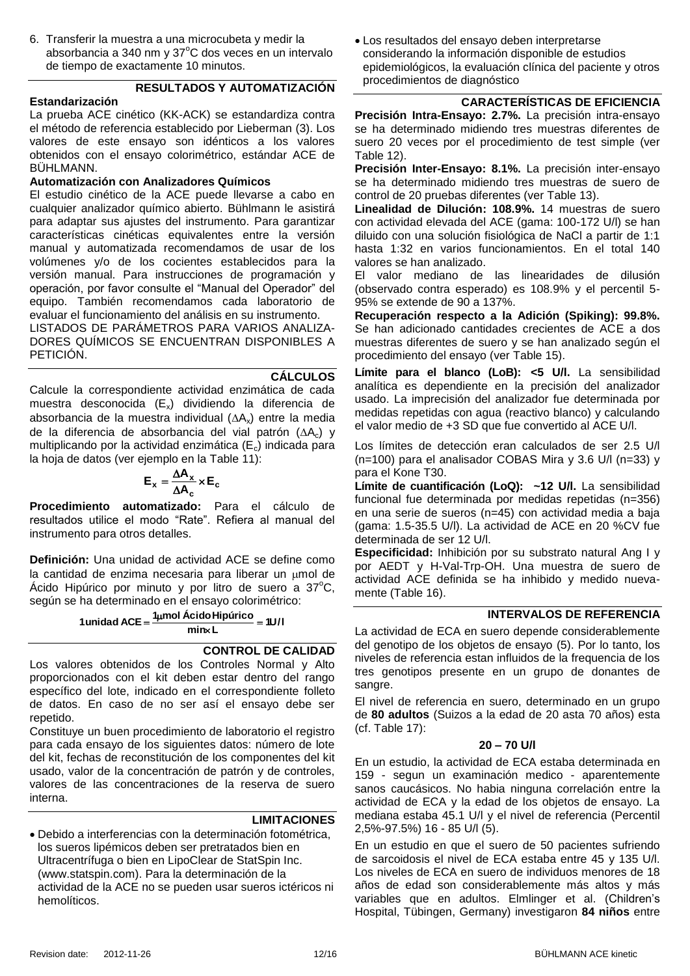6. Transferir la muestra a una microcubeta y medir la absorbancia a 340 nm y  $37^{\circ}$ C dos veces en un intervalo de tiempo de exactamente 10 minutos.

#### **RESULTADOS Y AUTOMATIZACIÓN**

#### **Estandarización**

La prueba ACE cinético (KK-ACK) se estandardiza contra el método de referencia establecido por Lieberman [\(3\)](#page-14-1). Los valores de este ensayo son idénticos a los valores obtenidos con el ensayo colorimétrico, estándar ACE de BÜHLMANN.

#### **Automatización con Analizadores Químicos**

El estudio cinético de la ACE puede llevarse a cabo en cualquier analizador químico abierto. Bühlmann le asistirá para adaptar sus ajustes del instrumento. Para garantizar características cinéticas equivalentes entre la versión manual y automatizada recomendamos de usar de los volúmenes y/o de los cocientes establecidos para la versión manual. Para instrucciones de programación y operación, por favor consulte el "Manual del Operador" del equipo. También recomendamos cada laboratorio de evaluar el funcionamiento del análisis en su instrumento.

LISTADOS DE PARÁMETROS PARA VARIOS ANALIZA-DORES QUÍMICOS SE ENCUENTRAN DISPONIBLES A PETICIÓN.

**CÁLCULOS** Calcule la correspondiente actividad enzimática de cada muestra desconocida  $(E_x)$  dividiendo la diferencia de absorbancia de la muestra individual  $(\Delta A_x)$  entre la media de la diferencia de absorbancia del vial patrón  $( \Delta A_c )$  y multiplicando por la actividad enzimática ( $E_c$ ) indicada para la hoja de datos (ver ejemplo en la [Table 11\)](#page-13-0):

$$
\mathbf{E}_{\mathbf{x}} = \frac{\Delta \mathbf{A}_{\mathbf{x}}}{\Delta \mathbf{A}_{\mathbf{c}}} \times \mathbf{E}_{\mathbf{c}}
$$

**Procedimiento automatizado:** Para el cálculo de resultados utilice el modo "Rate". Refiera al manual del instrumento para otros detalles.

**Definición:** Una unidad de actividad ACE se define como la cantidad de enzima necesaria para liberar un umol de Ácido Hipúrico por minuto y por litro de suero a  $37^{\circ}$ C, según se ha determinado en el ensayo colorimétrico:

> **1U/l <sup>1</sup> mol ÁcidoHipúrico 1unidad ACE min L**

#### **CONTROL DE CALIDAD**

Los valores obtenidos de los Controles Normal y Alto proporcionados con el kit deben estar dentro del rango específico del lote, indicado en el correspondiente folleto de datos. En caso de no ser así el ensayo debe ser repetido.

Constituye un buen procedimiento de laboratorio el registro para cada ensayo de los siguientes datos: número de lote del kit, fechas de reconstitución de los componentes del kit usado, valor de la concentración de patrón y de controles, valores de las concentraciones de la reserva de suero interna.

#### **LIMITACIONES**

 Debido a interferencias con la determinación fotométrica, los sueros lipémicos deben ser pretratados bien en Ultracentrífuga o bien en LipoClear de StatSpin Inc. (www.statspin.com). Para la determinación de la actividad de la ACE no se pueden usar sueros ictéricos ni hemolíticos.

 Los resultados del ensayo deben interpretarse considerando la información disponible de estudios epidemiológicos, la evaluación clínica del paciente y otros procedimientos de diagnóstico

#### **CARACTERÍSTICAS DE EFICIENCIA**

<span id="page-11-0"></span>**Precisión Intra-Ensayo: 2.7%.** La precisión intra-ensayo se ha determinado midiendo tres muestras diferentes de suero 20 veces por el procedimiento de test simple (ver [Table 12\)](#page-13-1).

**Precisión Inter-Ensayo: 8.1%.** La precisión inter-ensayo se ha determinado midiendo tres muestras de suero de control de 20 pruebas diferentes (ver [Table 13\)](#page-13-2).

**Linealidad de Dilución: 108.9%.** 14 muestras de suero con actividad elevada del ACE (gama: 100-172 U/l) se han diluido con una solución fisiológica de NaCl a partir de 1:1 hasta 1:32 en varios funcionamientos. En el total 140 valores se han analizado.

El valor mediano de las linearidades de dilusión (observado contra esperado) es 108.9% y el percentil 5- 95% se extende de 90 a 137%.

**Recuperación respecto a la Adición (Spiking): 99.8%.**  Se han adicionado cantidades crecientes de ACE a dos muestras diferentes de suero y se han analizado según el procedimiento del ensayo (ver [Table 15\)](#page-13-5).

**Lίmite para el blanco (LoB): <5 U/l.** La sensibilidad analítica es dependiente en la precisión del analizador usado. La imprecisión del analizador fue determinada por medidas repetidas con agua (reactivo blanco) y calculando el valor medio de +3 SD que fue convertido al ACE U/l.

Los límites de detección eran calculados de ser 2.5 U/l (n=100) para el analisador COBAS Mira y 3.6 U/l (n=33) y para el Kone T30.

**Lίmite de cuantificación (LoQ): ~12 U/l.** La sensibilidad funcional fue determinada por medidas repetidas (n=356) en una serie de sueros (n=45) con actividad media a baja (gama: 1.5-35.5 U/l). La actividad de ACE en 20 %CV fue determinada de ser 12 U/l.

**Especificidad:** Inhibición por su substrato natural Ang I y por AEDT y H-Val-Trp-OH. Una muestra de suero de actividad ACE definida se ha inhibido y medido nuevamente [\(Table 16\)](#page-13-6).

#### **INTERVALOS DE REFERENCIA**

La actividad de ECA en suero depende considerablemente del genotipo de los objetos de ensayo [\(5\)](#page-14-2). Por lo tanto, los niveles de referencia estan influidos de la frequencia de los tres genotipos presente en un grupo de donantes de sangre.

El nivel de referencia en suero, determinado en un grupo de **80 adultos** (Suizos a la edad de 20 asta 70 años) esta (cf. [Table 17\)](#page-13-7):

#### **20 – 70 U/l**

En un estudio, la actividad de ECA estaba determinada en 159 - segun un examinación medico - aparentemente sanos caucásicos. No habia ninguna correlación entre la actividad de ECA y la edad de los objetos de ensayo. La mediana estaba 45.1 U/l y el nivel de referencia (Percentil 2,5%-97.5%) 16 - 85 U/l [\(5\)](#page-14-2).

En un estudio en que el suero de 50 pacientes sufriendo de sarcoidosis el nivel de ECA estaba entre 45 y 135 U/l. Los niveles de ECA en suero de individuos menores de 18 años de edad son considerablemente más altos y más variables que en adultos. Elmlinger et al. (Children's Hospital, Tübingen, Germany) investigaron **84 niños** entre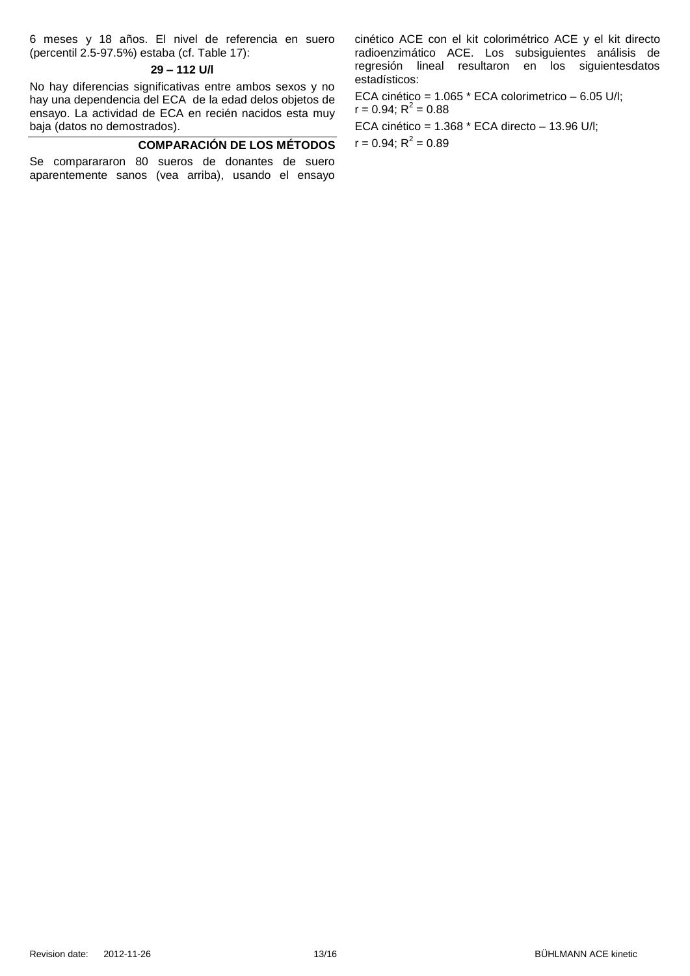6 meses y 18 años. El nivel de referencia en suero (percentil 2.5-97.5%) estaba (cf. [Table 17\)](#page-13-7):

#### **29 – 112 U/l**

No hay diferencias significativas entre ambos sexos y no hay una dependencia del ECA de la edad delos objetos de ensayo. La actividad de ECA en recién nacidos esta muy baja (datos no demostrados).

#### **COMPARACIÓN DE LOS MÉTODOS**

Se comparararon 80 sueros de donantes de suero aparentemente sanos (vea arriba), usando el ensayo

cinético ACE con el kit colorimétrico ACE y el kit directo radioenzimático ACE. Los subsiguientes análisis de regresión lineal resultaron en los siguientesdatos estadísticos:

ECA cinético = 1.065 \* ECA colorimetrico – 6.05 U/l;  $r = 0.94; R^2 = 0.88$ ECA cinético = 1.368 \* ECA directo – 13.96 U/l;

 $r = 0.94; R^2 = 0.89$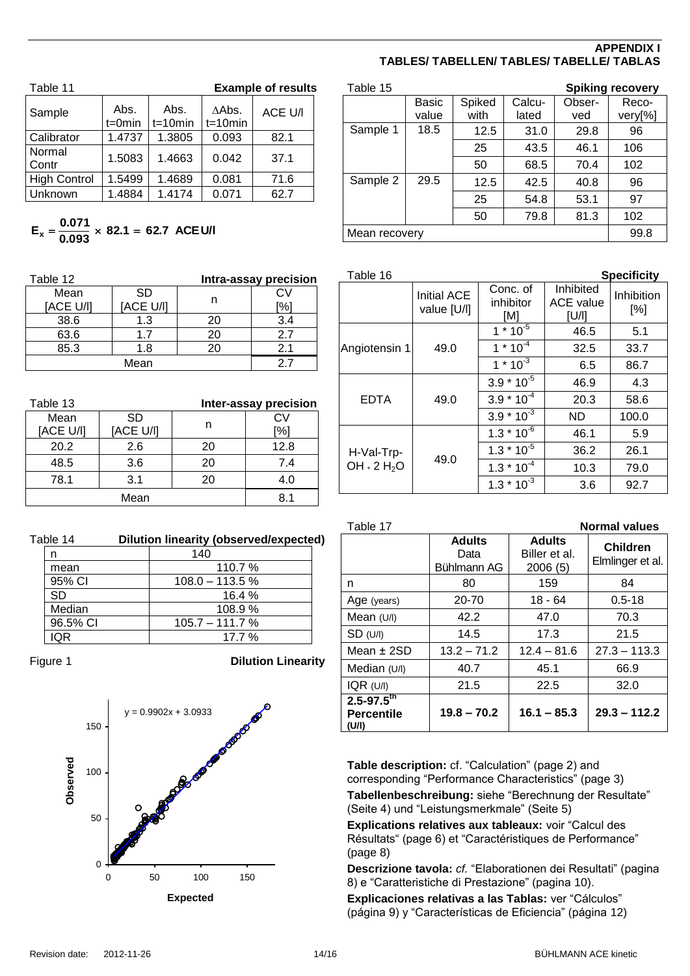#### **APPENDIX I TABLES/ TABELLEN/ TABLES/ TABELLE/ TABLAS**

<span id="page-13-0"></span>

| Table 11            |                     |                    |                        | <b>Example of results</b> |
|---------------------|---------------------|--------------------|------------------------|---------------------------|
| Sample              | Abs.<br>$t = 0$ min | Abs.<br>$t=10$ min | $A$ Abs.<br>$t=10$ min | ACE U/I                   |
| Calibrator          | 1.4737              | 1.3805             | 0.093                  | 82.1                      |
| Normal<br>Contr     | 1.5083              | 1.4663             | 0.042                  | 37.1                      |
| <b>High Control</b> | 1.5499              | 1.4689             | 0.081                  | 71.6                      |
| Unknown             | 1.4884              | 1.4174             | 0.071                  | 62.7                      |

## $E_x = \frac{0.071}{0.093} \times 82.1 = 62.7$  ACE U/I

<span id="page-13-1"></span>

| Table 12  |           |    | Intra-assay precision |
|-----------|-----------|----|-----------------------|
| Mean      | <b>SD</b> |    | C٧                    |
| [ACE U/I] | [ACE U/I] | n  | $\frac{1}{2}$         |
| 38.6      | 1.3       | 20 | 3.4                   |
| 63.6      | 17        | 20 | 27                    |
| 85.3      | 1.8       | 20 | 2.1                   |
| Mean      |           |    | 27                    |

<span id="page-13-2"></span>

| Table 13          |                 |    | Inter-assay precision |
|-------------------|-----------------|----|-----------------------|
| Mean<br>[ACE U/I] | SD<br>[ACE U/I] |    | CV<br>[%]             |
| 20.2              | 2.6             | 20 | 12.8                  |
| 48.5              | 3.6             | 20 | 7.4                   |
| 78.1              | 3.1             | 20 | 4.0                   |
| Mean              |                 |    | 81                    |

<span id="page-13-3"></span>

| Table 14 | Dilution linearity (observed/expected) |  |
|----------|----------------------------------------|--|
|          |                                        |  |

|          | 140               |
|----------|-------------------|
| mean     | 110.7%            |
| 95% CI   | $108.0 - 113.5%$  |
| SD       | 16.4%             |
| Median   | 108.9%            |
| 96.5% CI | $105.7 - 111.7 %$ |
| ΩR       | $17.7\%$          |

<span id="page-13-4"></span>

Figure 1 **Dilution Linearity**



<span id="page-13-5"></span>

| Table 15      |       |        |        |        | <b>Spiking recovery</b> |
|---------------|-------|--------|--------|--------|-------------------------|
|               | Basic | Spiked | Calcu- | Obser- | Reco-                   |
|               | value | with   | lated  | ved    | very[%]                 |
| Sample 1      | 18.5  | 12.5   | 31.0   | 29.8   | 96                      |
|               |       | 25     | 43.5   | 46.1   | 106                     |
|               |       | 50     | 68.5   | 70.4   | 102                     |
| Sample 2      | 29.5  | 12.5   | 42.5   | 40.8   | 96                      |
|               |       | 25     | 54.8   | 53.1   | 97                      |
|               |       | 50     | 79.8   | 81.3   | 102                     |
| Mean recovery |       |        |        |        | 99.8                    |

<span id="page-13-6"></span>

| Table 16                                    |                            |                              |                                        | <b>Specificity</b> |
|---------------------------------------------|----------------------------|------------------------------|----------------------------------------|--------------------|
|                                             | Initial ACE<br>value [U/l] | Conc. of<br>inhibitor<br>[M] | Inhibited<br><b>ACE</b> value<br>[U/I] | Inhibition<br>[%]  |
|                                             |                            | $1 * 10^{-5}$                | 46.5                                   | 5.1                |
| Angiotensin 1                               | 49.0                       | $1 * 10^{-4}$                | 32.5                                   | 33.7               |
|                                             |                            | $1 * 10^{-3}$                | 6.5                                    | 86.7               |
|                                             |                            | $3.9 * 10^{-5}$              | 46.9                                   | 4.3                |
| <b>EDTA</b>                                 | 49.0                       | $3.9 * 10^{-4}$              | 20.3                                   | 58.6               |
|                                             |                            | $3.9 * 10^{-3}$              | ND                                     | 100.0              |
|                                             |                            | $1.3 * 10^{-6}$              | 46.1                                   | 5.9                |
| H-Val-Trp-<br>OH $\cdot$ 2 H <sub>2</sub> O | 49.0                       | $1.3 * 10^{-5}$              | 36.2                                   | 26.1               |
|                                             |                            | $1.3 * 10^{-4}$              | 10.3                                   | 79.0               |
|                                             |                            | $1.3 * 10^{-3}$              | 3.6                                    | 92.7               |

<span id="page-13-7"></span>

| Table 17                                                 |                                      |                                           | <b>Normal values</b>                |
|----------------------------------------------------------|--------------------------------------|-------------------------------------------|-------------------------------------|
|                                                          | <b>Adults</b><br>Data<br>Bühlmann AG | <b>Adults</b><br>Biller et al.<br>2006(5) | <b>Children</b><br>Elmlinger et al. |
| n                                                        | 80                                   | 159                                       | 84                                  |
| Age (years)                                              | 20-70                                | $18 - 64$                                 | $0.5 - 18$                          |
| Mean $(U/I)$                                             | 42.2                                 | 47.0                                      | 70.3                                |
| SD (U/I)                                                 | 14.5                                 | 17.3                                      | 21.5                                |
| Mean $±$ 2SD                                             | $13.2 - 71.2$                        | $12.4 - 81.6$                             | $27.3 - 113.3$                      |
| Median $(U/I)$                                           | 40.7                                 | 45.1                                      | 66.9                                |
| $IQR$ (U/I)                                              | 21.5                                 | 22.5                                      | 32.0                                |
| $2.5 - 97.5$ <sup>th</sup><br><b>Percentile</b><br>(U/I) | $19.8 - 70.2$                        | $16.1 - 85.3$                             | $29.3 - 112.2$                      |

**Table description:** cf. "Calculation" (page 2) and corresponding "Performance Characteristics" (page [3\)](#page-2-0)

**Tabellenbeschreibung:** siehe "Berechnung der Resultate" (Seite 4) und "Leistungsmerkmale" (Seite [5\)](#page-4-0)

**Explications relatives aux tableaux:** voir "Calcul des Résultats" (page 6) et "Caractéristiques de Performance" (page [8\)](#page-7-0)

**Descrizione tavola:** *cf.* "Elaborationen dei Resultati" (pagina 8) e "Caratteristiche di Prestazione" (pagina [10\)](#page-9-0).

**Explicaciones relativas a las Tablas:** ver "Cálculos" (página 9) y "Características de Eficiencia" (página [12\)](#page-11-0)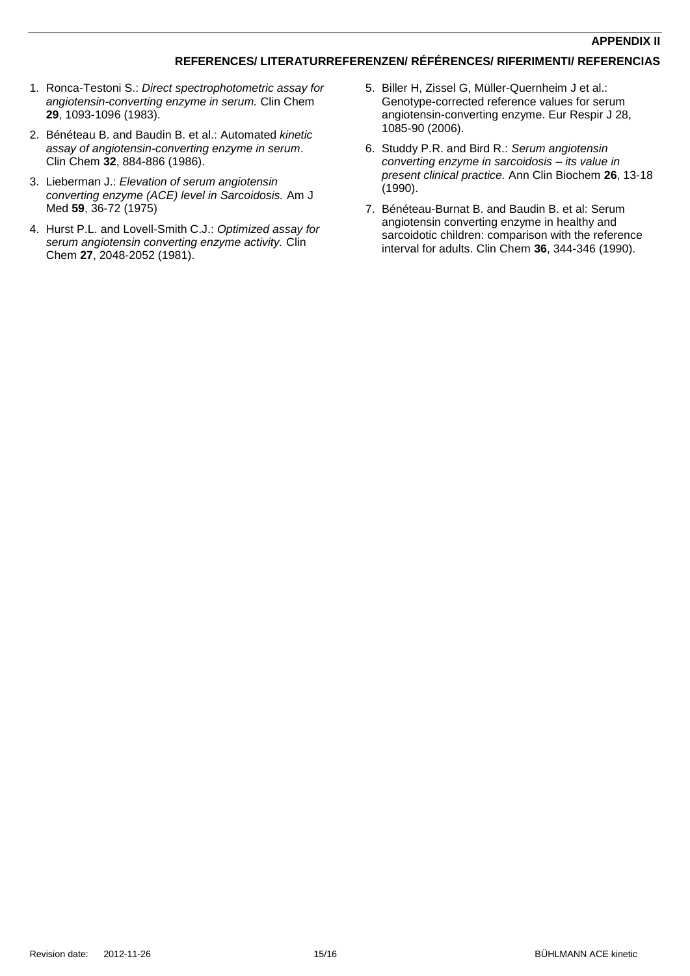#### **REFERENCES/ LITERATURREFERENZEN/ RÉFÉRENCES/ RIFERIMENTI/ REFERENCIAS**

- 1. Ronca-Testoni S.: *Direct spectrophotometric assay for angiotensin-converting enzyme in serum.* Clin Chem **29**, 1093-1096 (1983).
- <span id="page-14-0"></span>2. Bénéteau B. and Baudin B. et al.: Automated *kinetic assay of angiotensin-converting enzyme in serum*. Clin Chem **32**, 884-886 (1986).
- <span id="page-14-1"></span>3. Lieberman J.: *Elevation of serum angiotensin converting enzyme (ACE) level in Sarcoidosis.* Am J Med **59**, 36-72 (1975)
- <span id="page-14-4"></span>4. Hurst P.L. and Lovell-Smith C.J.: *Optimized assay for serum angiotensin converting enzyme activity.* Clin Chem **27**, 2048-2052 (1981).
- <span id="page-14-2"></span>5. Biller H, Zissel G, Müller-Quernheim J et al.: Genotype-corrected reference values for serum angiotensin-converting enzyme. Eur Respir J 28, 1085-90 (2006).
- <span id="page-14-3"></span>6. Studdy P.R. and Bird R.: *Serum angiotensin converting enzyme in sarcoidosis – its value in present clinical practice.* Ann Clin Biochem **26**, 13-18 (1990).
- 7. Bénéteau-Burnat B. and Baudin B. et al: Serum angiotensin converting enzyme in healthy and sarcoidotic children: comparison with the reference interval for adults. Clin Chem **36**, 344-346 (1990).